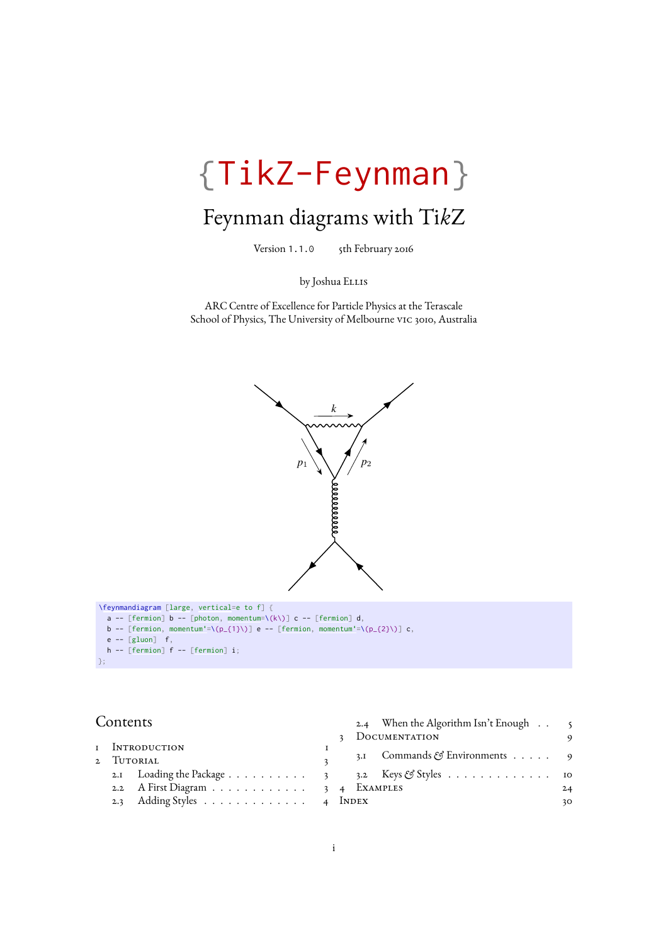# {TikZ-Feynman}

# Feynman diagrams with Ti*k*Z

Version 1.1.0 5th February 2016

by Joshua ELLIS

ARC Centre of Excellence for Particle Physics at the Terascale School of Physics, The University of Melbourne vic 3010, Australia



### Contents

|  |                                                |  |  | 3 DOCUMENTATION                           |    |
|--|------------------------------------------------|--|--|-------------------------------------------|----|
|  | i Introduction                                 |  |  |                                           |    |
|  | 2 Tutorial                                     |  |  | 3.1 Commands $\mathcal{E}$ Environments 9 |    |
|  | 2.1 Loading the Package 3 3.2 Keys & Styles 10 |  |  |                                           |    |
|  | 2.2 A First Diagram 3 4 EXAMPLES               |  |  |                                           | 24 |
|  | 2.3 Adding Styles 4 INDEX                      |  |  |                                           | 30 |

[2.4 When the Algorithm Isn't Enough](#page-5-0) . . 5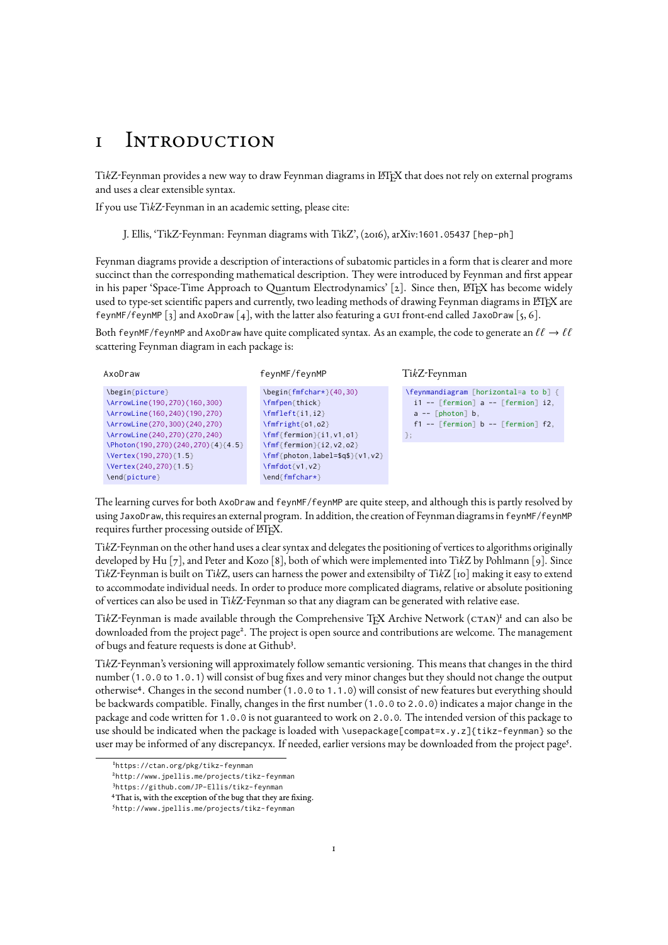## <span id="page-1-0"></span>1 Introduction

TikZ-Feynman provides a new way to draw Feynman diagrams in L<sup>AT</sup>EX that does not rely on external programs and uses a clear extensible syntax.

If you use Ti*k*Z-Feynman in an academic setting, please cite:

J. Ellis, 'TikZ-Feynman: Feynman diagrams with TikZ', [\(2016\),](http://arxiv.org/abs/1601.05437) arXiv:[1601.05437 \[hep-ph\]](http://arxiv.org/abs/1601.05437)

Feynman diagrams provide a description of interactions of subatomic particles in a form that is clearer and more succinct than the corresponding mathematical description. They were introduced by Feynman and first appear in his paper 'Space-Time Approach to Quantum Electrodynamics' [\[2\]](#page-32-0). Since then, LHFX has become widely used to type-set scientific papers and currently, two leading methods of drawing Feynman diagrams in LATEX are [feynMF](https://www.ctan.org/pkg/feynmf)/feynMP [\[3\]](#page-32-1) and [AxoDraw](https://www.ctan.org/pkg/axodraw) [\[4\]](#page-32-2), with the latter also featuring a gui front-end called [JaxoDraw](http://jaxodraw.sourceforge.net) [\[5,](#page-32-3) [6\]](#page-32-4).

Both feynMF/feynMP and AxoDraw have quite complicated syntax. As an example, the code to generate an  $\ell\ell \to \ell\ell$ scattering Feynman diagram in each package is:

| feynMF/feynMP                                                    | TikZ-Feynman                             |  |
|------------------------------------------------------------------|------------------------------------------|--|
| $\begin{bmatrix} \frac{f_m f_{\text{max}}}{40,30} \end{bmatrix}$ | \feynmandiagram [horizontal=a to b] {    |  |
| \fmfpen{thick}                                                   | $i1 -$ [fermion] a -- [fermion] i2,      |  |
| $\lfloor \text{fmfleft}[i1, i2] \rfloor \rfloor$                 | $a --$ [photon] b,                       |  |
| $\lfloor \frac{\text{fm}}{\text{mfright}} \rfloor$ 01,02         | $f1 - -$ [fermion] b -- [fermion] $f2$ , |  |
| $\mathcal{F}_{\text{mf}}\$ fermion } { i1, v1, o1 }              | $\}$ ;                                   |  |
| $\mathcal{F}_{\text{mf}}\$ fermion } { i2, v2, o2 }              |                                          |  |
| \fmf{photon,label=\$q\$}{v1,v2}                                  |                                          |  |
| $\lfloor \frac{1}{v^2} \rfloor$                                  |                                          |  |
| \end{fmfchar*}                                                   |                                          |  |
|                                                                  |                                          |  |

The learning curves for both AxoDraw and feynMF/feynMP are quite steep, and although this is partly resolved by using JaxoDraw, this requires an external program. In addition, the creation of Feynman diagrams in feynMF/feynMP requires further processing outside of ETFX.

Ti*k*Z-Feynman on the other hand uses a clear syntax and delegates the positioning of vertices to algorithms originally developed by Hu [\[7\]](#page-32-5), and Peter and Kozo [\[8\]](#page-32-6), both of which were implemented into Ti*k*Z by Pohlmann [\[9\]](#page-32-7). Since Ti*k*Z-Feynman is built on Ti*k*Z, users can harness the power and extensibilty of Ti*k*Z [\[10\]](#page-32-8) making it easy to extend to accommodate individual needs. In order to produce more complicated diagrams, relative or absolute positioning of vertices can also be used in Ti*k*Z-Feynman so that any diagram can be generated with relative ease.

TikZ-Feynman is made available through the Comprehensive T<sub>E</sub>X Archive Network (CTAN)<sup>[1](#page-1-1)</sup> and can also be downloaded from the [project page](http://www.jpellis.me/projects/tikz-feynman)<sup>[2](#page-1-2)</sup>. The project is open source and contributions are welcome. The management ofbugs and feature requests is done at [Github](https://github.com/JP-Ellis/tikz-feynman)<sup>[3](#page-1-3)</sup>.

Ti*k*Z-Feynman's versioning will approximately follow [semantic versioning.](http://semverg.org) This means that changes in the third number (1.0.0 to 1.0.1) will consist of bug fixes and very minor changes but they should not change the output otherwise[4](#page-1-4) . Changes in the second number (1.0.0 to 1.1.0) will consist of new features but everything should be backwards compatible. Finally, changes in the first number (1.0.0 to 2.0.0) indicates a major change in the package and code written for 1.0.0 is not guaranteed to work on 2.0.0. The intended version of this package to use should be indicated when the package is loaded with \usepackage[compat=x.y.z]{tikz-feynman} so the user may be informed of any discrepancyx. If needed, earlier versions may be downloaded from the [project page](http://www.jpellis.me/projects/tikz-feynman)<sup>[5](#page-1-5)</sup>.

<span id="page-1-1"></span><sup>&</sup>lt;sup>I</sup><https://ctan.org/pkg/tikz-feynman>

<span id="page-1-2"></span><sup>2</sup> <http://www.jpellis.me/projects/tikz-feynman>

<span id="page-1-3"></span><sup>3</sup> <https://github.com/JP-Ellis/tikz-feynman>

<span id="page-1-4"></span><sup>4</sup>That is, with the exception of the bug that they are fixing.

<span id="page-1-5"></span><sup>5</sup> <http://www.jpellis.me/projects/tikz-feynman>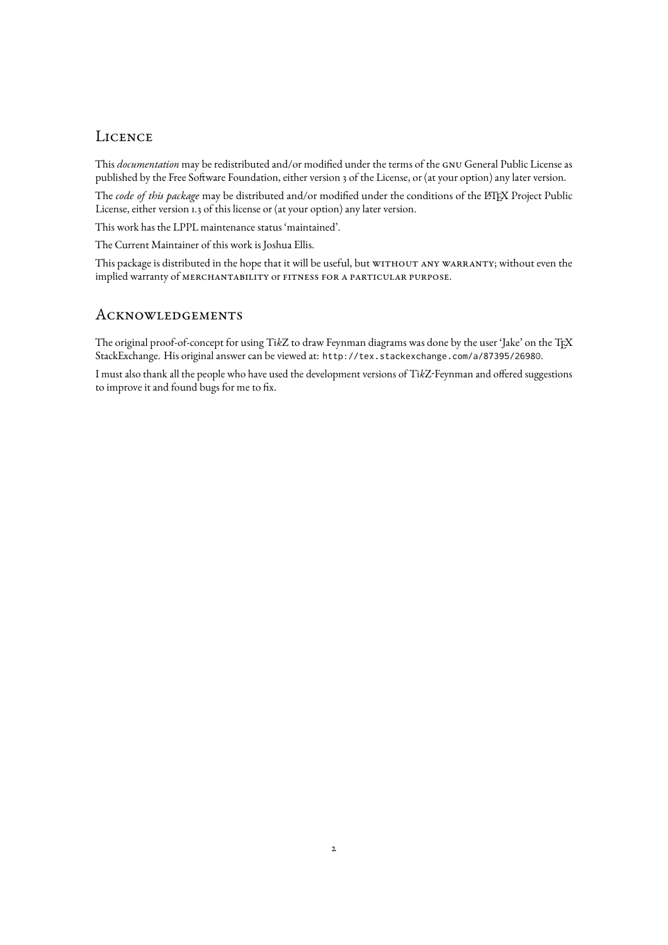### **LICENCE**

This *documentation* may be redistributed and/or modified under the terms of the gnu General Public License as published by the Free Software Foundation, either version 3 of the License, or (at your option) any later version.

The *code of this package* may be distributed and/or modified under the conditions of the LATEX Project Public License, either version 1.3 of this license or (at your option) any later version.

This work has the LPPL maintenance status 'maintained'.

The Current Maintainer of this work is Joshua Ellis.

This package is distributed in the hope that it will be useful, but WITHOUT ANY WARRANTY; without even the implied warranty of merchantability or fitness for a particular purpose.

### **ACKNOWLEDGEMENTS**

The original proof-of-concept for using Ti*k*Z to draw Feynman diagrams was done by the user ['Jake'](http://tex.stackexchange.com/users/2552) on the TEX StackExchange. His original answer can be viewed at: <http://tex.stackexchange.com/a/87395/26980>.

I must also thank all the people who have used the development versions of Ti*k*Z-Feynman and offered suggestions to improve it and found bugs for me to fix.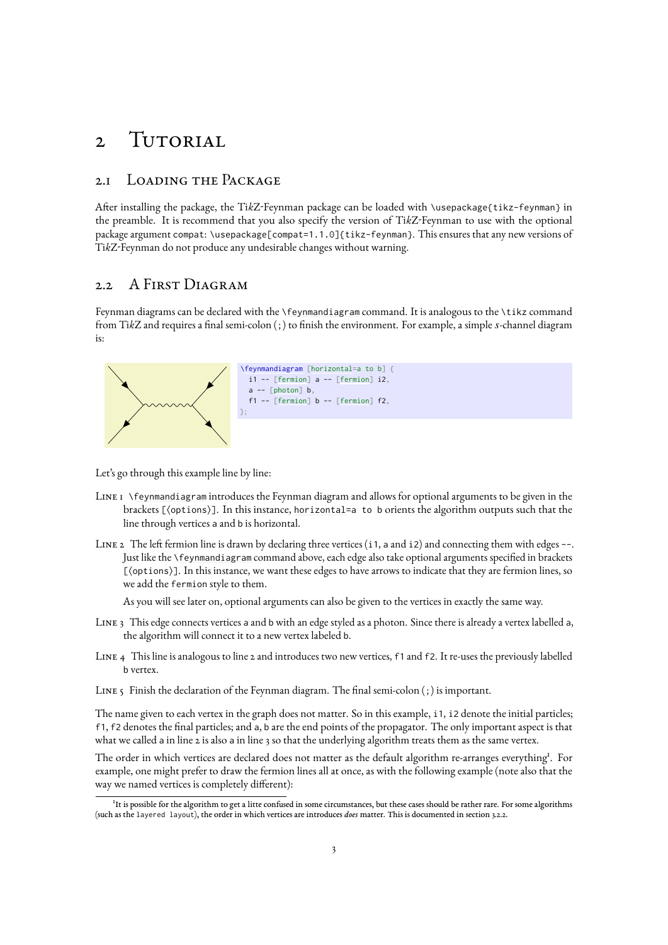## <span id="page-3-0"></span>2 TUTORIAL

### <span id="page-3-1"></span>2.1 Loading the Package

After installing the package, the Ti*k*Z-Feynman package can be loaded with \usepackage{tikz-feynman} in the preamble. It is recommend that you also specify the version of Ti*k*Z-Feynman to use with the optional package argument compat: \usepackage[compat=1.1.0]{tikz-feynman}. This ensures that any new versions of Ti*k*Z-Feynman do not produce any undesirable changes without warning.

### <span id="page-3-2"></span>2.2 A First Diagram

Feynman diagrams can be declared with the [\feynmandiagram](#page-9-0) command. It is analogous to the \tikz command from Ti*k*Z and requires a final semi-colon (;) to finish the environment. For example, a simple *s*-channel diagram is:



Let's go through this example line by line:

- Line 1 [\feynmandiagram](#page-9-0) introduces the Feynman diagram and allows for optional arguments to be given in the brackets [(options)]. In this instance, [horizontal=](#page-12-1)a to b orients the algorithm outputs such that the line through vertices a and b is horizontal.
- Line 2 The left fermion line is drawn by declaring three vertices (i1, a and i2) and connecting them with edges --. Just like the [\feynmandiagram](#page-9-0) command above, each edge also take optional arguments specified in brackets  $[\langle \text{options} \rangle]$ . In this instance, we want these edges to have arrows to indicate that they are fermion lines, so we add the [fermion](#page-19-0) style to them.

As you will see later on, optional arguments can also be given to the vertices in exactly the same way.

- Line 3 This edge connects vertices a and b with an edge styled as a photon. Since there is already a vertex labelled a, the algorithm will connect it to a new vertex labeled b.
- Line 4 This line is analogous to line 2 and introduces two new vertices, f1 and f2. It re-uses the previously labelled b vertex.

LINE 5 Finish the declaration of the Feynman diagram. The final semi-colon (;) is important.

The name given to each vertex in the graph does not matter. So in this example, i1, i2 denote the initial particles; f1, f2 denotes the final particles; and a, b are the end points of the propagator. The only important aspect is that what we called a in line 2 is also a in line 3 so that the underlying algorithm treats them as the same vertex.

The order in which vertices are declared does not matter as the default algorithm re-arranges everything<sup>[1](#page-3-3)</sup>. For example, one might prefer to draw the fermion lines all at once, as with the following example (note also that the way we named vertices is completely different):

<span id="page-3-3"></span><sup>1</sup> It is possible for the algorithm to get a litte confused in some circumstances, but these cases should be rather rare. For some algorithms (such as the layered layout), the order in which vertices are introduces *does* matter. This is documented in section [3.2.2.](#page-13-1)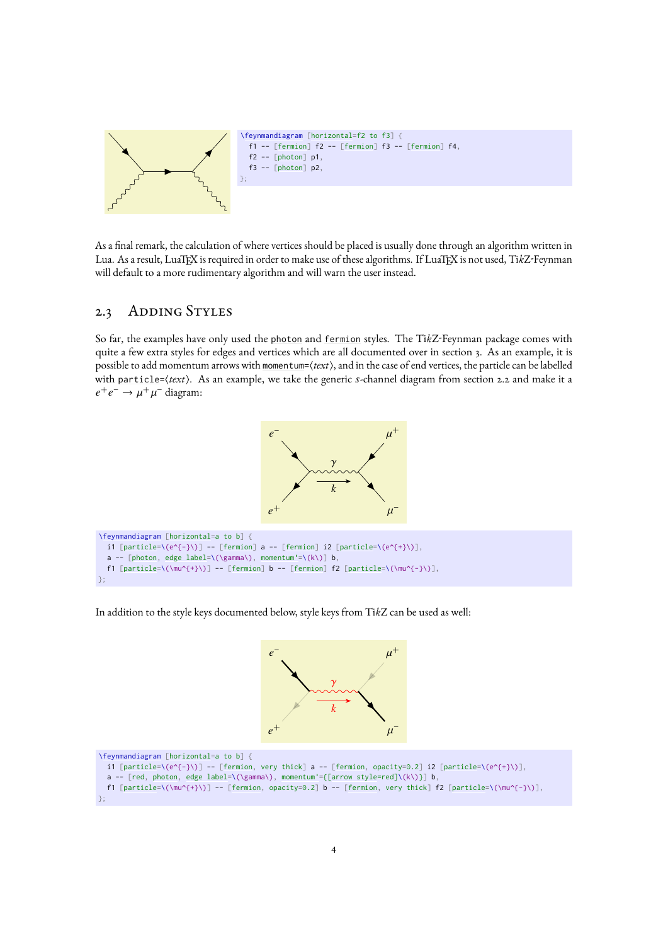

As a final remark, the calculation of where vertices should be placed is usually done through an algorithm written in Lua. As a result, LuaTEX is required in order to make use of these algorithms. If LuaTEX is not used, Ti*k*Z-Feynman will default to a more rudimentary algorithm and will warn the user instead.

### <span id="page-4-0"></span>2.3 ADDING STYLES

So far, the examples have only used the [photon](#page-19-1) and [fermion](#page-19-0) styles. The Ti*k*Z-Feynman package comes with quite a few extra styles for edges and vertices which are all documented over in section [3.](#page-9-1) As an example, it is possible to add momentum arrows with [momentum=](#page-21-0) $\langle \text{text} \rangle$ , and in the case of end vertices, the particle can be labelled with [particle=](#page-17-0) $\langle text \rangle$ . As an example, we take the generic *s*-channel diagram from section [2.2](#page-3-2) and make it a  $e^+e^- \rightarrow \mu^+$  $\mu^-$  diagram:



```
\feynmandiagram [horizontal=a to b] {
 [particle=[fermion] a -- [fermion] i2 [particle=\(e^{+}\)],
 [photon,edge label=momentum'=\(k\)] b,
 [particle=[fermion] b -- [fermion] f2 [particle=\(\mu^{-}\)],
};
```
In addition to the style keys documented below, style keys from Ti*k*Z can be used as well:



```
\feynmandiagram [horizontal=a to b] {
 [particle=[fermion, very thick] a -- [fermion, opacity=0.2] i2 [particle=\(e^{+}\)],
 photon,edge label=momentum'=[arrow style=red]\(k\)}] b,
 [particle=[fermion, opacity=0.2] b -- [fermion, very thick] f2 [particle=\(\mu^{-}\)],
};
```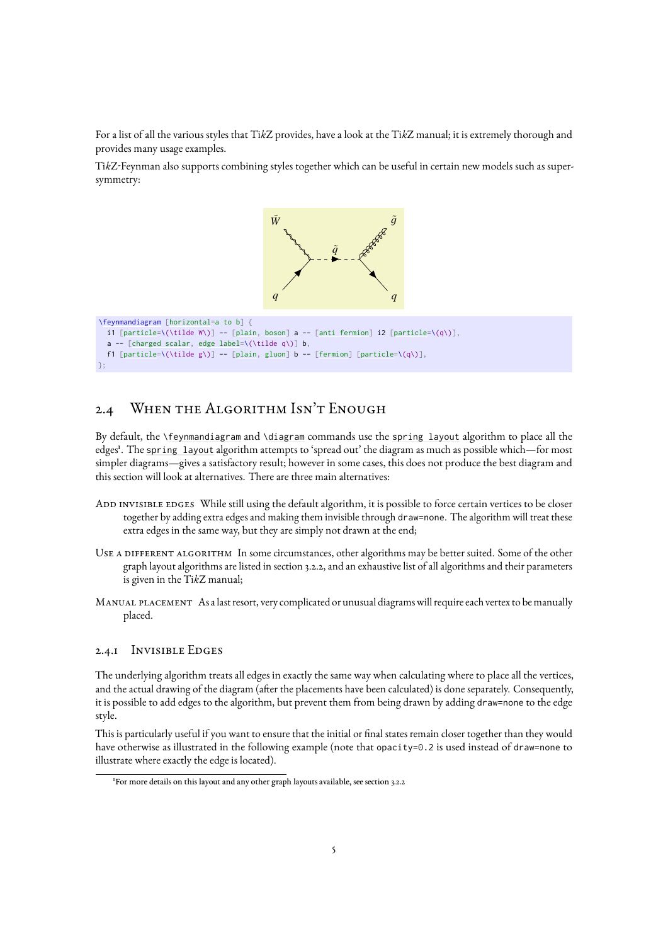For a list of all the various styles that Ti*k*Z provides, have a look at the Ti*k*[Z manual;](http://mirrors.ctan.org/graphics/pgf/base/doc/pgfmanual.pdf) it is extremely thorough and provides many usage examples.

Ti*k*Z-Feynman also supports combining styles together which can be useful in certain new models such as supersymmetry:



```
[particle=[plain,boson][anti fermion] i2 [particle=\(q\)],
 [charged scalar,edge label=\(\tilde q\)] b,
 [particle=[plain,gluon][fermion] [particle=\(q\)],
};
```
## <span id="page-5-0"></span>2.4 WHEN THE ALGORITHM ISN'T ENOUGH

By default, the [\feynmandiagram](#page-9-0) and [\diagram](#page-9-3) commands use the [spring layout](#page-14-0) algorithm to place all the edge[s](#page-5-1)<sup>1</sup>. The [spring layout](#page-14-0) algorithm attempts to 'spread out' the diagram as much as possible which—for most simpler diagrams—gives a satisfactory result; however in some cases, this does not produce the best diagram and this section will look at alternatives. There are three main alternatives:

- ADD INVISIBLE EDGES While still using the default algorithm, it is possible to force certain vertices to be closer together by adding extra edges and making them invisible through draw=none. The algorithm will treat these extra edges in the same way, but they are simply not drawn at the end;
- Use a different algorithm In some circumstances, other algorithms may be better suited. Some of the other graph layout algorithms are listed in section [3.2.2,](#page-13-1) and an exhaustive list of all algorithms and their parameters is given in the Ti*k*[Z manual;](http://mirrors.ctan.org/graphics/pgf/base/doc/pgfmanual.pdf)
- Manual placement As a last resort, very complicated or unusual diagrams will require each vertex to be manually placed.

### 2.4.1 Invisible Edges

The underlying algorithm treats all edges in exactly the same way when calculating where to place all the vertices, and the actual drawing of the diagram (after the placements have been calculated) is done separately. Consequently, it is possible to add edges to the algorithm, but prevent them from being drawn by adding draw=none to the edge style.

This is particularly useful if you want to ensure that the initial or final states remain closer together than they would have otherwise as illustrated in the following example (note that opacity=0.2 is used instead of draw=none to illustrate where exactly the edge is located).

<span id="page-5-1"></span><sup>&</sup>lt;sup>1</sup>For more details on this layout and any other graph layouts available, see section [3.2.2](#page-13-1)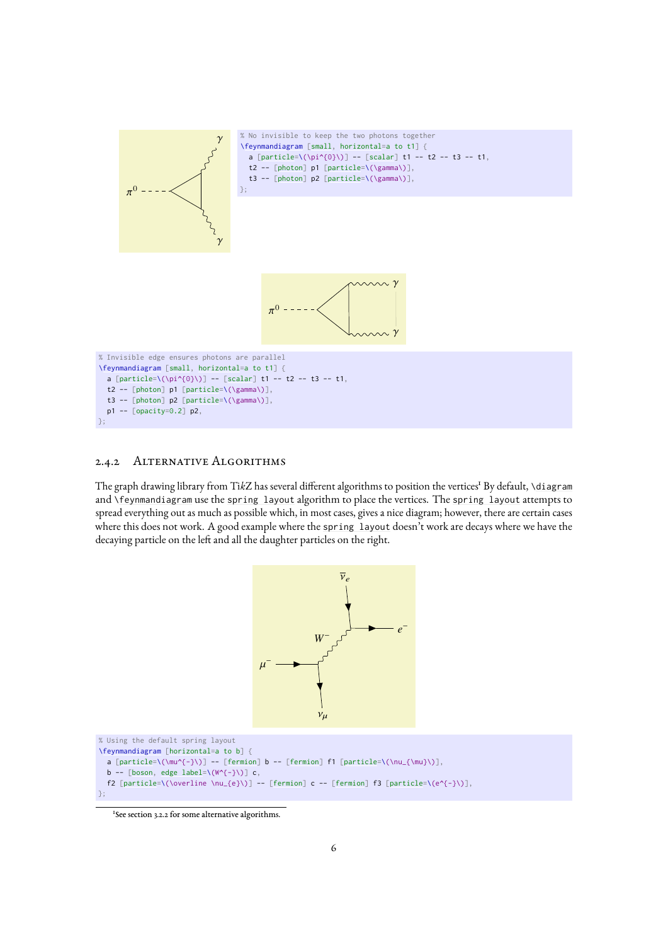

### 2.4.2 Alternative Algorithms

The graph drawing library from TikZ has several different algorithms to position the vertices<sup>t</sup> By default, [\diagram](#page-9-3) and [\feynmandiagram](#page-9-0) use the [spring layout](#page-14-0) algorithm to place the vertices. The [spring layout](#page-14-0) attempts to spread everything out as much as possible which, in most cases, gives a nice diagram; however, there are certain cases where this does not work. A good example where the [spring layout](#page-14-0) doesn't work are decays where we have the decaying particle on the left and all the daughter particles on the right.



<span id="page-6-0"></span><sup>1</sup>See section [3.2.2](#page-13-1) for some alternative algorithms.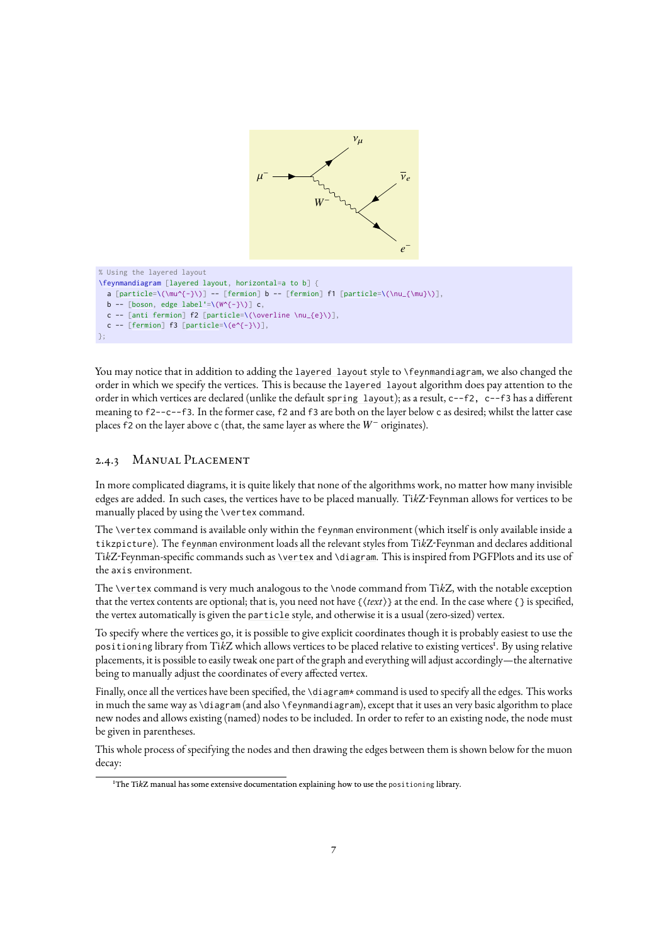

You may notice that in addition to adding the [layered layout](#page-14-1) style to [\feynmandiagram](#page-9-0), we also changed the order in which we specify the vertices. This is because the [layered layout](#page-14-1) algorithm does pay attention to the order in which vertices are declared (unlike the default [spring layout](#page-14-0)); as a result, c--f2, c--f3 has a different meaning to f2--c--f3. In the former case, f2 and f3 are both on the layer below c as desired; whilst the latter case places f2 on the layer above <sup>c</sup> (that, the same layer as where the *W*<sup>−</sup> originates).

### 2.4.3 Manual Placement

In more complicated diagrams, it is quite likely that none of the algorithms work, no matter how many invisible edges are added. In such cases, the vertices have to be placed manually. Ti*k*Z-Feynman allows for vertices to be manually placed by using the [\vertex](#page-9-4) command.

The [\vertex](#page-9-4) command is available only within the [feynman](#page-9-5) environment (which itself is only available inside a tikzpicture). The [feynman](#page-9-5) environment loads all the relevant styles from Ti*k*Z-Feynman and declares additional Ti*k*Z-Feynman-specific commands such as [\vertex](#page-9-4) and [\diagram](#page-9-3). This is inspired from PGFPlots and its use of the axis environment.

The [\vertex](#page-9-4) command is very much analogous to the \node command from Ti*k*Z, with the notable exception that the vertex contents are optional; that is, you need not have  $\{\text{texter} t\}$  at the end. In the case where  $\{\}$  is specified, the vertex automatically is given the [particle](#page-17-0) style, and otherwise it is a usual (zero-sized) vertex.

To specify where the vertices go, it is possible to give explicit coordinates though it is probably easiest to use the positioning library from TikZ which allows vertices to be placed relative to existing vertices<sup>[1](#page-7-0)</sup>. By using relative placements, it is possible to easily tweak one part of the graph and everything will adjust accordingly—the alternative being to manually adjust the coordinates of every affected vertex.

Finally, once all the vertices have been specified, the [\diagram\\*](#page-9-3) command is used to specify all the edges. This works in much the same way as [\diagram](#page-9-3) (and also [\feynmandiagram](#page-9-0)), except that it uses an very basic algorithm to place new nodes and allows existing (named) nodes to be included. In order to refer to an existing node, the node must be given in parentheses.

This whole process of specifying the nodes and then drawing the edges between them is shown below for the muon decay:

<span id="page-7-0"></span><sup>1</sup>The Ti*k*[Z manual](http://mirrors.ctan.org/graphics/pgf/base/doc/pgfmanual.pdf) has some extensive documentation explaining how to use the positioning library.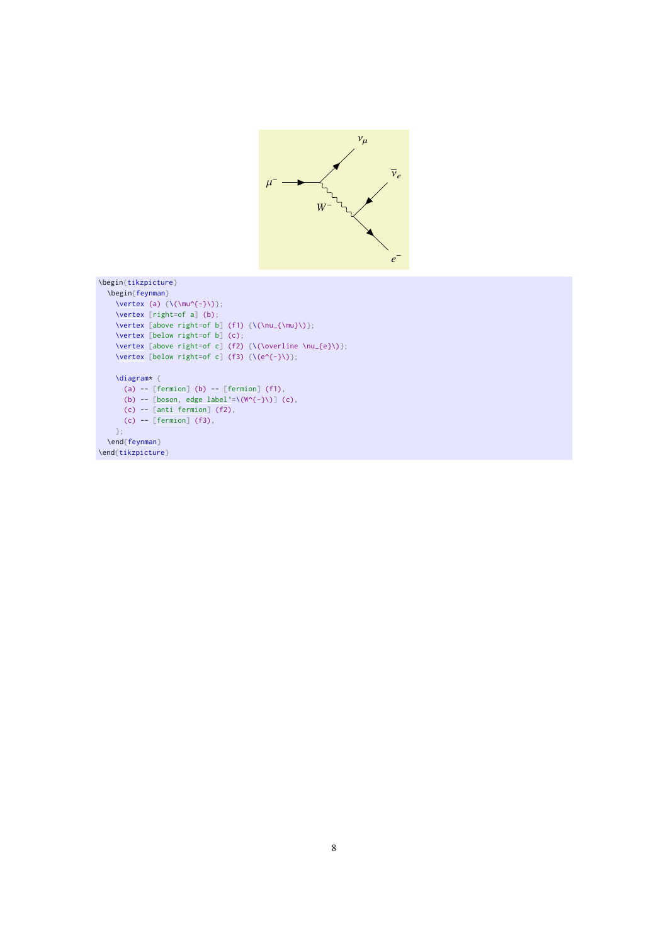

```
\begin{tikzpicture}
  \begin{feynman}
   \vertex (a) \{\(\mu^{\{-\}})\};\vertex [right=of a] (b);
   \vertex [above right=of b] (f1) {\(\nu_{\mu}\});
   \vertex [below right=of b] (c);
    \vertex [above right=of c] (f2) {\(\overline \nu_{e}\)};
    \vertex [below right=of c] (f3) \{\{(e^{(-)}\})\};
   \diagram* {
     (a) -[fermion] (b) - [fermion] (f1),
      [boson,edge label'=\(W^{-}\)] (c),
      (c)[anti fermion] (f2),
     (c)[fermion] (f3),
   };
 \end{feynman}
\end{tikzpicture}
```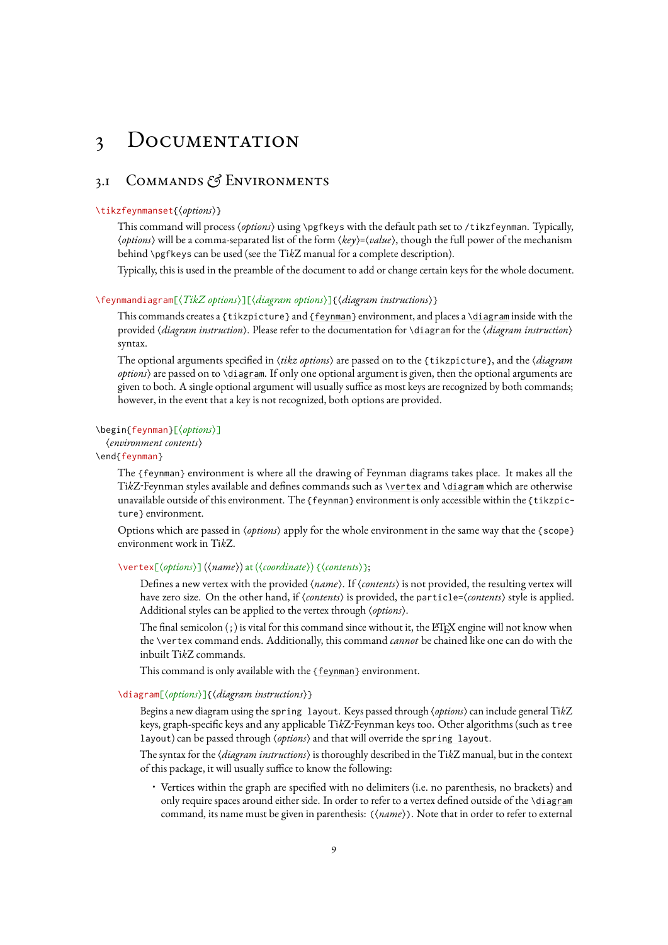# <span id="page-9-7"></span><span id="page-9-1"></span>3 Documentation

### <span id="page-9-2"></span>3.1 Commands *&* Environments

### <span id="page-9-6"></span>\tikzfeynmanset{\*options*}}

This command will process (options) using \pgfkeys with the default path set to /tikzfeynman. Typically, h*options*i will be a comma-separated list of the form h*key*i=h*value*i, though the full power of the mechanism behind \pgfkeys can be used (see the Ti*k*[Z manual](http://mirrors.ctan.org/graphics/pgf/base/doc/pgfmanual.pdf) for a complete description).

Typically, this is used in the preamble of the document to add or change certain keys for the whole document.

### <span id="page-9-0"></span>\feynmandiagram[ $\langle TikZ$  options $\rangle$ ][ $\langle diagram$  options $\rangle$ ]{ $\langle diagram$  instructions $\rangle$ }

This commands creates a {tikzpicture} and [{feynman}](#page-9-5) environment, and places a [\diagram](#page-9-3) inside with the provided (*diagram instruction*). Please refer to the documentation for [\diagram](#page-9-3) for the (*diagram instruction*) syntax.

The optional arguments specified in  $\langle$ tikz options $\rangle$  are passed on to the {tikzpicture}, and the  $\langle$ *diagram options*i are passed on to [\diagram](#page-9-3). If only one optional argument is given, then the optional arguments are given to both. A single optional argument will usually suffice as most keys are recognized by both commands; however, in the event that a key is not recognized, both options are provided.

### <span id="page-9-5"></span>\begin{feynman}[\*options*)]

h*environment contents*i

### \end{feynman}

The [{feynman}](#page-9-5) environment is where all the drawing of Feynman diagrams takes place. It makes all the Ti*k*Z-Feynman styles available and defines commands such as [\vertex](#page-9-4) and [\diagram](#page-9-3) which are otherwise unavailable outside of this environment. The [{feynman}](#page-9-5) environment is only accessible within the {tikzpicture} environment.

Options which are passed in  $\langle options \rangle$  apply for the whole environment in the same way that the {scope} environment work in Ti*k*Z.

### <span id="page-9-4"></span>\vertex[ $\langle options \rangle$ ] ( $\langle name \rangle$ ) at ( $\langle coordinate \rangle$ ) { $\langle contents \rangle$ };

Defines a new vertex with the provided (*name*). If (*contents*) is not provided, the resulting vertex will have zero size. On the other hand, if  $\langle \textit{contents} \rangle$  is provided, the [particle=](#page-17-0) $\langle \textit{contents} \rangle$  style is applied. Additional styles can be applied to the vertex through (options).

The final semicolon  $($ ;) is vital for this command since without it, the LHEX engine will not know when the [\vertex](#page-9-4) command ends. Additionally, this command *cannot* be chained like one can do with the inbuilt Ti*k*Z commands.

This command is only available with the [{feynman}](#page-9-5) environment.

### <span id="page-9-3"></span>\diagram[\*options*}]{\diagram instructions}}

Begins a new diagram using the [spring layout](#page-14-0). Keys passed through (*options*) can include general TikZ keys, graph-specific keys and any applicable Ti*k*Z-Feynman keys too. Other algorithms (such as tree layout) can be passed through  $\langle$  options) and that will override the [spring layout](#page-14-0).

The syntax for the *(diagram instructions)* is thoroughly described in the Tik[Z manual,](http://mirrors.ctan.org/graphics/pgf/base/doc/pgfmanual.pdf) but in the context of this package, it will usually suffice to know the following:

• Vertices within the graph are specified with no delimiters (i.e. no parenthesis, no brackets) and only require spaces around either side. In order to refer to a vertex defined outside of the [\diagram](#page-9-3) command, its name must be given in parenthesis: ( $\langle name \rangle$ ). Note that in order to refer to external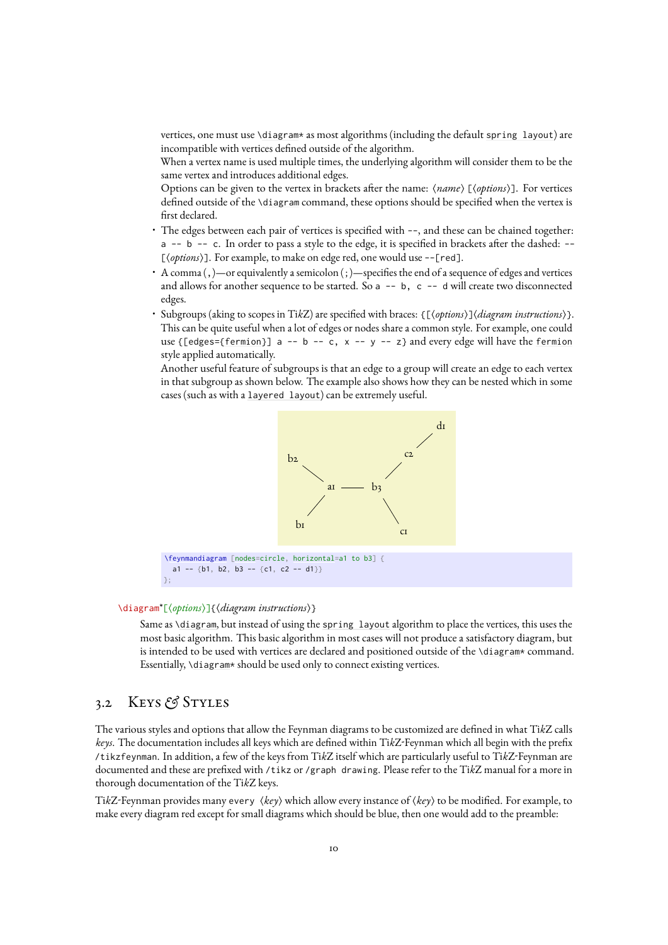<span id="page-10-1"></span>vertices, one must use [\diagram\\*](#page-9-3) as most algorithms (including the default [spring layout](#page-14-0)) are incompatible with vertices defined outside of the algorithm.

When a vertex name is used multiple times, the underlying algorithm will consider them to be the same vertex and introduces additional edges.

Options can be given to the vertex in brackets after the name:  $\langle name \rangle$  [ $\langle options \rangle$ ]. For vertices defined outside of the [\diagram](#page-9-3) command, these options should be specified when the vertex is first declared.

- The edges between each pair of vertices is specified with --, and these can be chained together: a -- b -- c. In order to pass a style to the edge, it is specified in brackets after the dashed: -- [ $\langle options \rangle$ ]. For example, to make on edge red, one would use --[red].
- A comma (,)—or equivalently a semicolon (;)—specifies the end of a sequence of edges and vertices and allows for another sequence to be started. So  $a - - b$ ,  $c - - d$  will create two disconnected edges.
- Subgroups (aking to scopes in Ti*k*Z) are specified with braces: {[h*options*i]h*diagram instructions*i}. This can be quite useful when a lot of edges or nodes share a common style. For example, one could use {[edges=[{fermion}](#page-19-0)] a -- b -- c, x -- y -- z} and every edge will have the [fermion](#page-19-0) style applied automatically.

Another useful feature of subgroups is that an edge to a group will create an edge to each vertex in that subgroup as shown below. The example also shows how they can be nested which in some cases (such as with a [layered layout](#page-14-1)) can be extremely useful.



### \diagram<sup>\*</sup>[\/options}]{\diagram instructions}}

Same as [\diagram](#page-9-3), but instead of using the [spring layout](#page-14-0) algorithm to place the vertices, this uses the most basic algorithm. This basic algorithm in most cases will not produce a satisfactory diagram, but is intended to be used with vertices are declared and positioned outside of the [\diagram\\*](#page-9-3) command. Essentially, *[\diagram\\*](#page-9-3)* should be used only to connect existing vertices.

### <span id="page-10-0"></span>3.2 Keys *&* Styles

};

The various styles and options that allow the Feynman diagrams to be customized are defined in what Ti*k*Z calls *keys*. The documentation includes all keys which are defined within Ti*k*Z-Feynman which all begin with the prefix /tikzfeynman. In addition, a few of the keys from Ti*k*Z itself which are particularly useful to Ti*k*Z-Feynman are documented and these are prefixed with /tikz or /graph drawing. Please refer to the Ti*k*[Z manual](http://mirrors.ctan.org/graphics/pgf/base/doc/pgfmanual.pdf) for a more in thorough documentation of the Ti*k*Z keys.

TikZ-Feynman provides many every  $\langle \textit{key} \rangle$  which allow every instance of  $\langle \textit{key} \rangle$  to be modified. For example, to make every diagram red except for small diagrams which should be blue, then one would add to the preamble: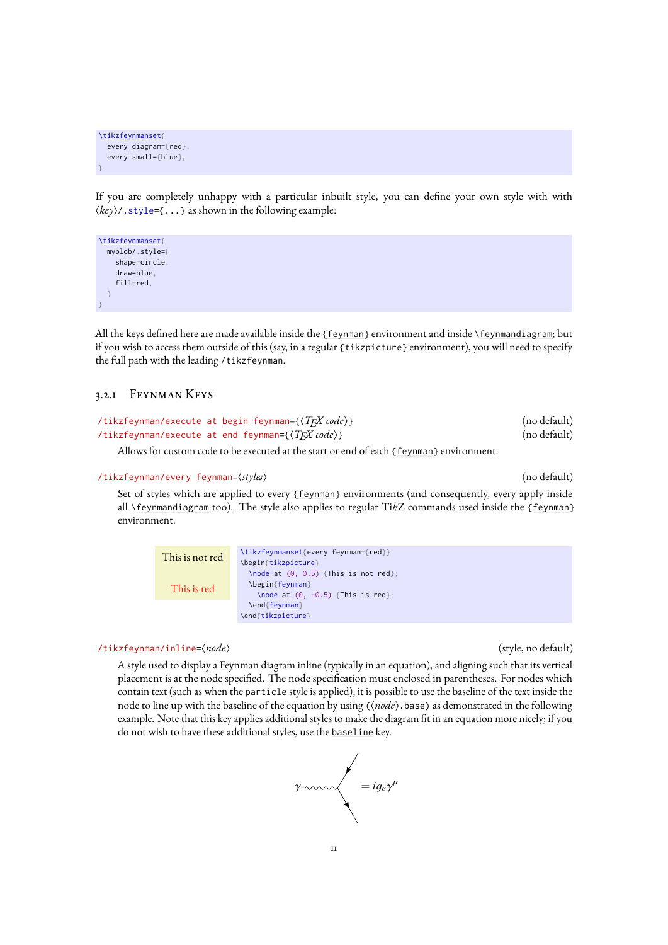```
\tikzfeynmanset{
  every diagram={red},
  every small={blue},
}
```
If you are completely unhappy with a particular inbuilt style, you can define your own style with with  $\langle \textit{key} \rangle$  / . style={ $\dots$ } as shown in the following example:

```
\tikzfeynmanset{
  myblob/.style={
    shape=circle,
    draw=blue,
     fill=red,
  \overline{a}}
```
All the keys defined here are made available inside the [{feynman}](#page-9-5) environment and inside [\feynmandiagram](#page-9-0); but if you wish to access them outside of this (say, in a regular {tikzpicture} environment), you will need to specify the full path with the leading /tikzfeynman.

### <span id="page-11-1"></span>3.2.1 Feynman Keys

```
/tikzfeynman/execute at begin feynman={\langle T_{EX} code \rangle} (no default)<br>/tikzfeynman/execute at end feynman={\langle T_{EX} code \rangle} (no default)
/tikzfeynman/execute at end feynman=\{\langle TFX \text{ code}\rangle\}
```
Allows for custom code to be executed at the start or end of each [{feynman}](#page-9-5) environment.

### /tikzfeynman/every feynman=h*styles*i (no default)

Set of styles which are applied to every [{feynman}](#page-9-5) environments (and consequently, every apply inside all [\feynmandiagram](#page-9-0) too). The style also applies to regular Ti*k*Z commands used inside the [{feynman}](#page-9-5) environment.

```
This is not red
  This is red
                  \tikzfeynmanset{every feynman={red}}
                  \begin{tikzpicture}
                    \node at (0, 0.5) {This is not red};
                    \begin{feynman}
                      \node at (0, -0.5) {This is red};
                    \end{feynman}
                  \end{tikzpicture}
```
### <span id="page-11-0"></span>/tikzfeynman/inline= $\langle node \rangle$  (style, no default)

A style used to display a Feynman diagram inline (typically in an equation), and aligning such that its vertical placement is at the node specified. The node specification must enclosed in parentheses. For nodes which contain text (such as when the [particle](#page-17-0) style is applied), it is possible to use the baseline of the text inside the node to line up with the baseline of the equation by using ( $\langle node \rangle$ ). base) as demonstrated in the following example. Note that this key applies additional styles to make the diagram fit in an equation more nicely; if you do not wish to have these additional styles, use the [baseline](#page-12-2) key.

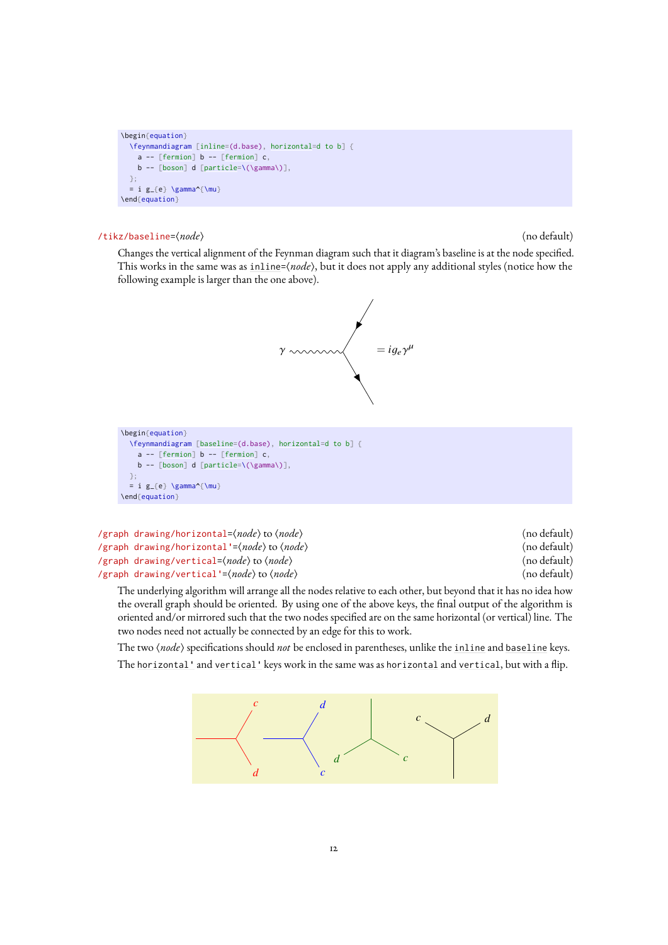```
\begin{equation}
  \feynmandiagram [inline=(d.base), horizontal=d to b] {
    a[fermion] b -- [fermion] c,
    \mathbf{b}[boson][particle=\(\gamma\)],
 };
  = i g_{e} \gamma^{\mu}
\end{equation}
```
### <span id="page-12-2"></span>/tikz/baseline=(*node*) (no default) (no default)

Changes the vertical alignment of the Feynman diagram such that it diagram's baseline is at the node specified. This works in the same was as [inline=](#page-11-0) $\langle node \rangle$ , but it does not apply any additional styles (notice how the following example is larger than the one above).



```
\begin{equation}
  \feynmandiagram [baseline=(d.base), horizontal=d to b] {
   a[fermion] b -- [fermion] c,
   b -- [boson] d [particle=\(\gamma\)],
 };
  = i g_{e} \gamma^{\mu}
\end{equation}
```
<span id="page-12-3"></span><span id="page-12-1"></span><span id="page-12-0"></span>

| /graph drawing/horizontal= $\langle node \rangle$ to $\langle node \rangle$  | (no default) |
|------------------------------------------------------------------------------|--------------|
| /graph drawing/horizontal'= $\langle node \rangle$ to $\langle node \rangle$ | (no default) |
| /graph drawing/vertical= $\langle node \rangle$ to $\langle node \rangle$    | (no default) |
| /graph drawing/vertical'= $\langle node \rangle$ to $\langle node \rangle$   | (no default) |

<span id="page-12-4"></span>The underlying algorithm will arrange all the nodes relative to each other, but beyond that it has no idea how the overall graph should be oriented. By using one of the above keys, the final output of the algorithm is oriented and/or mirrored such that the two nodes specified are on the same horizontal (or vertical) line. The two nodes need not actually be connected by an edge for this to work.

The two  $\langle$ *node* $\rangle$  specifications should *not* be enclosed in parentheses, unlike the [inline](#page-11-0) and [baseline](#page-12-2) keys. The [horizontal'](#page-12-3) and [vertical'](#page-12-4) keys work in the same was as [horizontal](#page-12-1) and [vertical](#page-12-0), but with a flip.

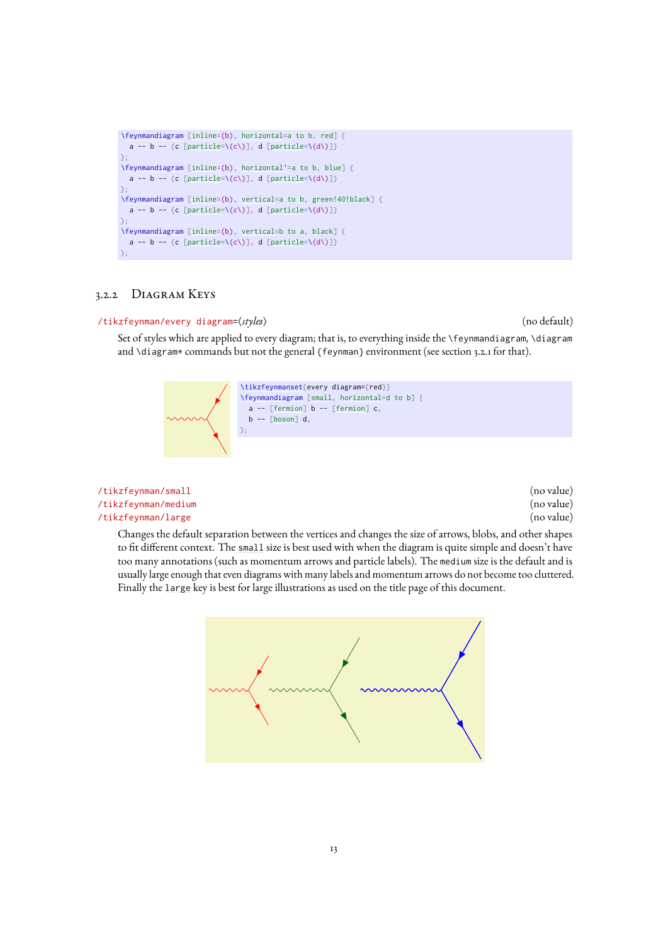```
\feynmandiagram [inline=(b), horizontal=a to b, red] {
 [particle=\(c\)], d [particle=\(d\)]}
};
\feynmandiagram [inline=(b), horizontal'=a to b, blue] {
 [particle=\(c\)], d [particle=\(d\)]}
};
\feynmandiagram [inline=(b), vertical=a to b, green!40!black] {
 [particle=\(c\)], d [particle=\(d\)]}
};
\feynmandiagram [inline=(b), vertical=b to a, black] {
 [particle=\(c\)], d [particle=\(d\)]}
};
```
### <span id="page-13-1"></span>3.2.2 Diagram Keys

### /tikzfeynman/every diagram= $\langle style="font-size: smaller; color: white; padding: 10px; color: white; padding: 10px; text-align: center;">\rangle$  (no default)

Set of styles which are applied to every diagram; that is, to everything inside the [\feynmandiagram](#page-9-0), [\diagram](#page-9-3) and [\diagram\\*](#page-9-3) commands but not the general [{feynman}](#page-9-5) environment (see section [3.2.1](#page-11-1) for that).

```
\tikzfeynmanset{every diagram={red}}
\feynmandiagram [small, horizontal=d to b] {
 a -- [fermion] b -- [fermion] c,
  b[boson] d,
};
```
<span id="page-13-3"></span><span id="page-13-2"></span><span id="page-13-0"></span>

| /tikzfeynman/small  | (no value) |
|---------------------|------------|
| /tikzfeynman/medium | (no value) |
| /tikzfeynman/large  | (no value) |

Changes the default separation between the vertices and changes the size of arrows, blobs, and other shapes to fit different context. The [small](#page-13-2) size is best used with when the diagram is quite simple and doesn't have too many annotations (such as momentum arrows and particle labels). The [medium](#page-13-3) size is the default and is usually large enough that even diagrams with many labels and momentum arrows do not become too cluttered. Finally the [large](#page-13-0) key is best for large illustrations as used on the title page of this document.

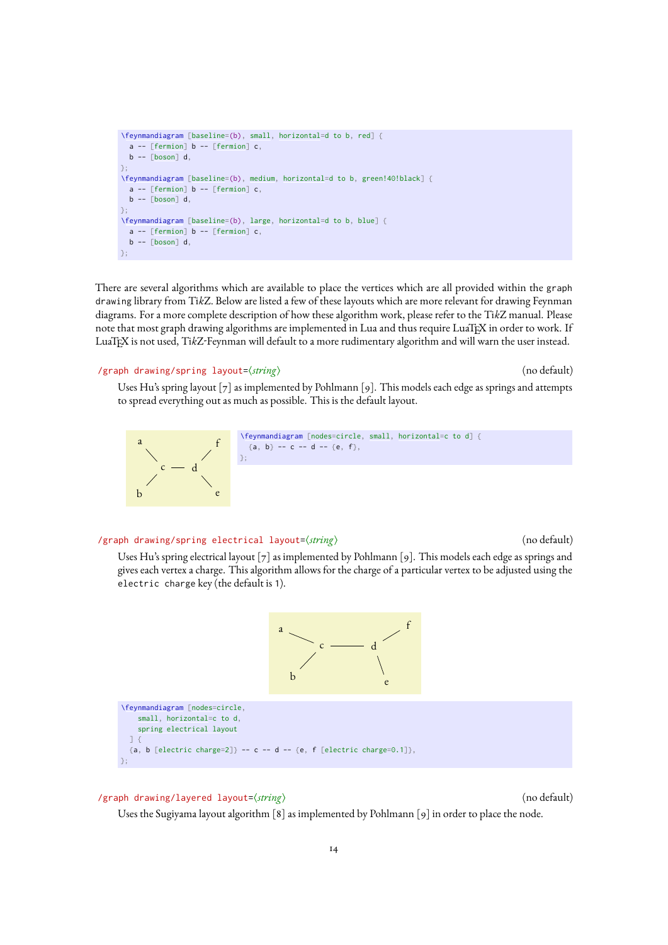```
\feynmandiagram [baseline=(b), small, horizontal=d to b, red] {
  [fermion] b -- [fermion] c,b -- \lceil boson \rceil d,
};
\feynmandiagram[baseline=medium,horizontal=d to b, green!40!black] {
 a[fermion] b -- [fermion] c,
 b -- [boson] d,
};
\feynmandiagram [baseline=(b), large, horizontal=d to b, blue] {
 a - F[fermion] b - F [fermion] c,
 b -- \lceil boson \rceil d,
};
```
There are several algorithms which are available to place the vertices which are all provided within the graph drawing library from Ti*k*Z. Below are listed a few of these layouts which are more relevant for drawing Feynman diagrams. For a more complete description of how these algorithm work, please refer to the Ti*k*[Z manual.](http://mirrors.ctan.org/graphics/pgf/base/doc/pgfmanual.pdf) Please note that most graph drawing algorithms are implemented in Lua and thus require LuaTEX in order to work. If LuaTEX is not used, Ti*k*Z-Feynman will default to a more rudimentary algorithm and will warn the user instead.

### <span id="page-14-0"></span>/graph drawing/spring layout= $\langle$ *string*) (no default) (no default)

Uses Hu's spring layout [\[7\]](#page-32-5) as implemented by Pohlmann [\[9\]](#page-32-7). This models each edge as springs and attempts to spread everything out as much as possible. This is the default layout.



### <span id="page-14-2"></span>/graph drawing/spring electrical layout= $\langle string \rangle$  (no default)

Uses Hu's spring electrical layout [\[7\]](#page-32-5) as implemented by Pohlmann [\[9\]](#page-32-7). This models each edge as springs and gives each vertex a charge. This algorithm allows for the charge of a particular vertex to be adjusted using the electric charge key (the default is 1).



### <span id="page-14-1"></span>/graph drawing/layered layout= $\langle$ *string*} (no default) (no default)

};

Uses the Sugiyama layout algorithm [\[8\]](#page-32-6) as implemented by Pohlmann [\[9\]](#page-32-7) in order to place the node.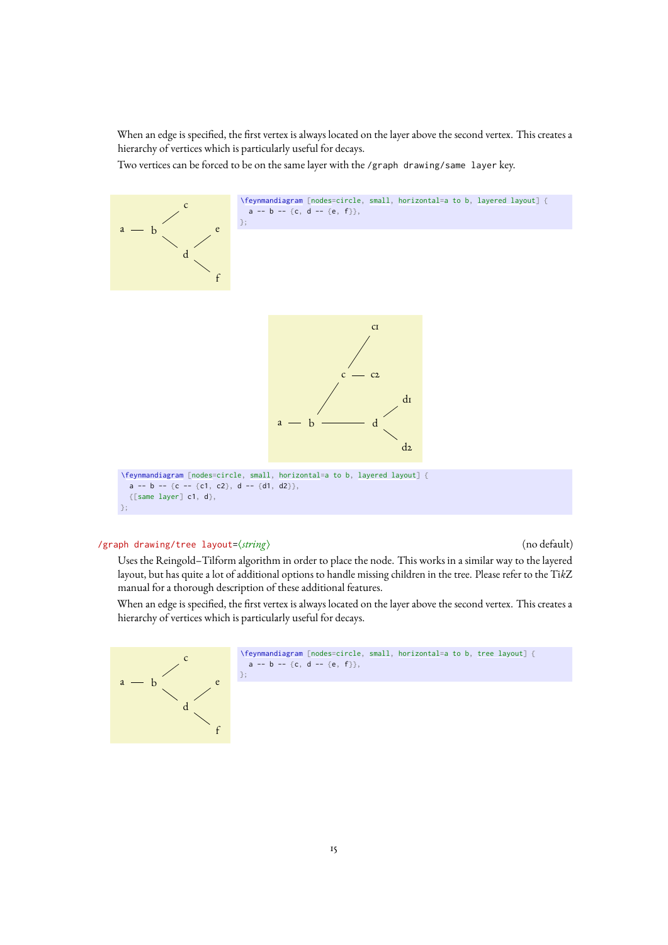<span id="page-15-1"></span>When an edge is specified, the first vertex is always located on the layer above the second vertex. This creates a hierarchy of vertices which is particularly useful for decays.

Two vertices can be forced to be on the same layer with the /graph drawing/same layer key.



### <span id="page-15-0"></span>/graph drawing/tree layout= $\langle string \rangle$  (no default)

Uses the Reingold–Tilform algorithm in order to place the node. This works in a similar way to the layered layout, but has quite a lot of additional options to handle missing children in the tree. Please refer to the [Ti](http://mirrors.ctan.org/graphics/pgf/base/doc/pgfmanual.pdf)*k*Z [manual](http://mirrors.ctan.org/graphics/pgf/base/doc/pgfmanual.pdf) for a thorough description of these additional features.

When an edge is specified, the first vertex is always located on the layer above the second vertex. This creates a hierarchy of vertices which is particularly useful for decays.



```
\feynmandiagram[nodes=small,horizontal=tree layout] {
a -- b -- {c, d -- {e, f}},
```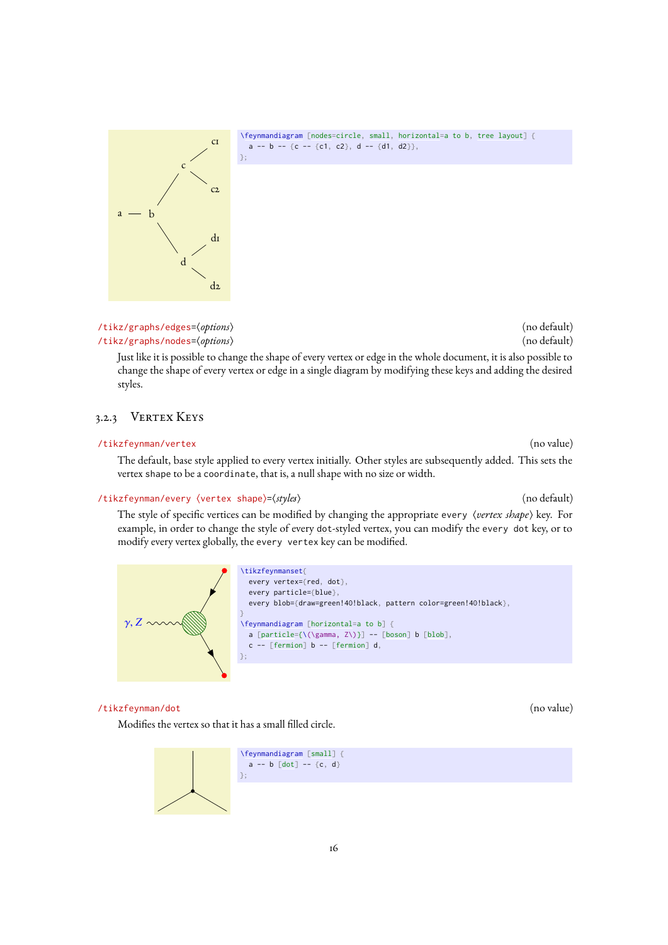<span id="page-16-3"></span>

[\feynmandiagram](#page-9-0) [\[nodes=](#page-16-0)circle, [small,](#page-13-2) [horizontal=](#page-12-1)a to b, [tree layout\]](#page-15-0) { a -- b -- {c -- {c1, c2}, d -- {d1, d2}},

<span id="page-16-2"></span><span id="page-16-0"></span>/tikz/graphs/edges=(*options*) (no default) (no default) /tikz/graphs/nodes= $\langle options \rangle$  (no default)

Just like it is possible to change the shape of every vertex or edge in the whole document, it is also possible to change the shape of every vertex or edge in a single diagram by modifying these keys and adding the desired styles.

### 3.2.3 VERTEX KEYS

### /tikzfeynman/vertex (no value)

The default, base style applied to every vertex initially. Other styles are subsequently added. This sets the vertex shape to be a coordinate, that is, a null shape with no size or width.

### /tikzfeynman/every (vertex shape)=(*styles*) (no default) (no default)

The style of specific vertices can be modified by changing the appropriate every  $\langle$ *vertex shape*) key. For example, in order to change the style of every [dot](#page-16-1)-styled vertex, you can modify the every dot key, or to modify every vertex globally, the every vertex key can be modified.



### <span id="page-16-1"></span>/tikzfeynman/dot (no value)

Modifies the vertex so that it has a small filled circle.

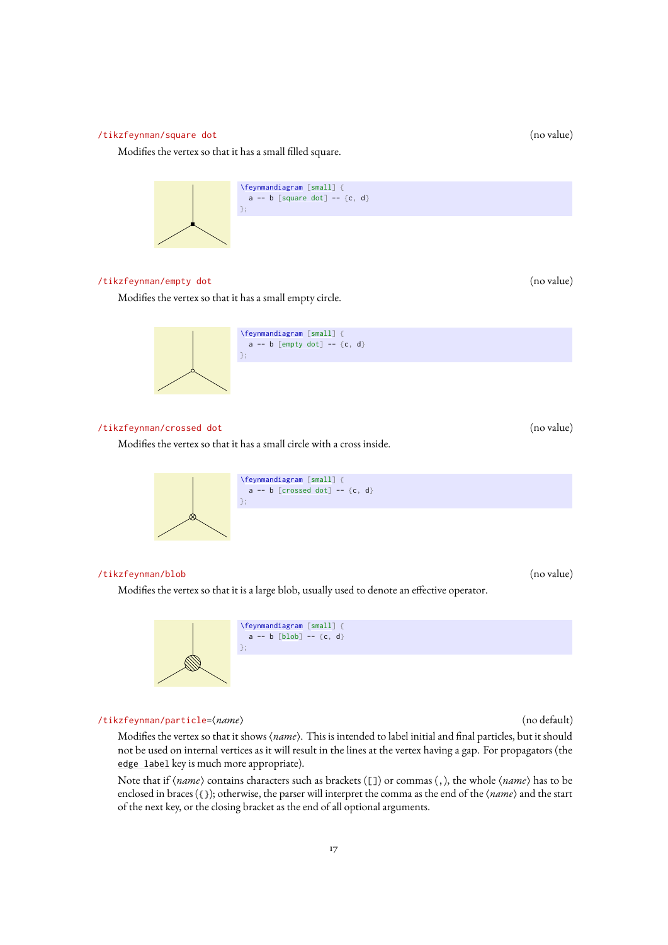### <span id="page-17-5"></span><span id="page-17-2"></span>/tikzfeynman/square dot (no value)

Modifies the vertex so that it has a small filled square.



### <span id="page-17-3"></span>/tikzfeynman/empty dot (no value)

Modifies the vertex so that it has a small empty circle.



### <span id="page-17-4"></span>/tikzfeynman/crossed dot (no value)

Modifies the vertex so that it has a small circle with a cross inside.



### <span id="page-17-1"></span>/tikzfeynman/blob (no value)

Modifies the vertex so that it is a large blob, usually used to denote an effective operator.



<span id="page-17-0"></span>/tikzfeynman/particle= $\langle name \rangle$  (no default)

Modifies the vertex so that it shows (name). This is intended to label initial and final particles, but it should not be used on internal vertices as it will result in the lines at the vertex having a gap. For propagators (the [edge label](#page-20-1) key is much more appropriate).

Note that if (*name*) contains characters such as brackets ([]) or commas (,), the whole (*name*) has to be enclosed in braces ({}); otherwise, the parser will interpret the comma as the end of the  $\langle name \rangle$  and the start of the next key, or the closing bracket as the end of all optional arguments.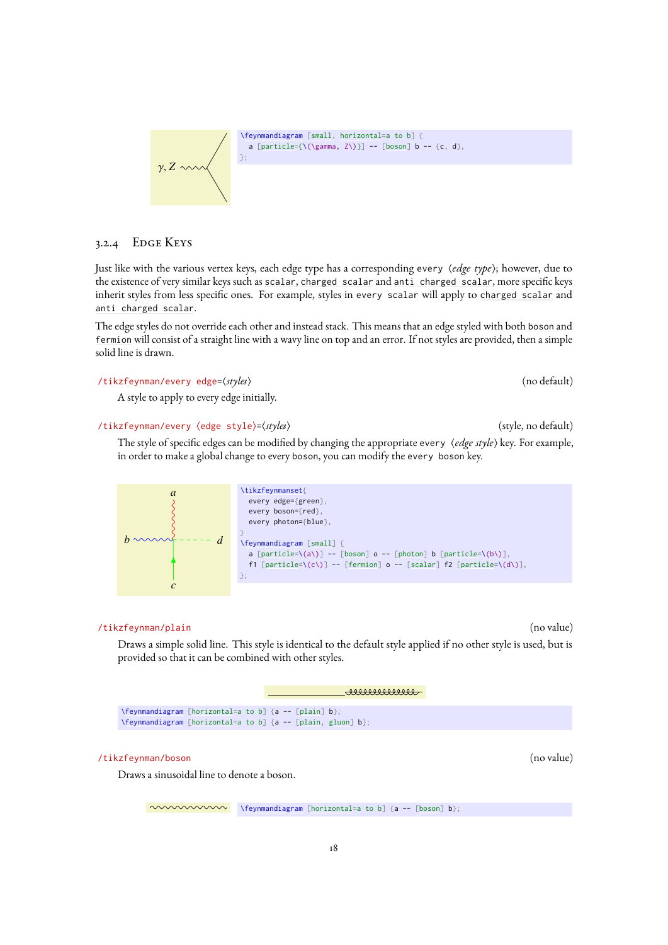[\feynmandiagram](#page-9-0) [\[small,](#page-13-2) [horizontal=](#page-12-1)a to b] { a [\[particle=](#page-17-0){\(\gamma, Z\)}] -- [\[boson\]](#page-18-1) b -- {c, d}, };

### 3.2.4 Edge Keys

<span id="page-18-2"></span> $γ, Z \sim$ 

Just like with the various vertex keys, each edge type has a corresponding every *(edge type*); however, due to the existence of very similar keys such as [scalar](#page-19-3), [charged scalar](#page-19-2) and [anti charged scalar](#page-19-4), more specific keys inherit styles from less specific ones. For example, styles in every scalar will apply to [charged scalar](#page-19-2) and [anti charged scalar](#page-19-4).

The edge styles do not override each other and instead stack. This means that an edge styled with both [boson](#page-18-1) and [fermion](#page-19-0) will consist of a straight line with a wavy line on top and an error. If not styles are provided, then a simple solid line is drawn.

### /tikzfeynman/every edge=(styles) (no default) (no default)

A style to apply to every edge initially.

### /tikzfeynman/every (edge style)=(styles) (style and the style of style, no default)

The style of specific edges can be modified by changing the appropriate every  $\langle$  *edge style*) key. For example, in order to make a global change to every [boson](#page-18-1), you can modify the every boson key.

|               | \tikzfeynmanset{                                                      |
|---------------|-----------------------------------------------------------------------|
| a             |                                                                       |
|               | every edge= ${green}$ ,                                               |
|               | every boson= $\{red\}$ ,                                              |
|               |                                                                       |
|               | every photon={blue},                                                  |
|               |                                                                       |
| $h \sim \sim$ |                                                                       |
|               | <b>\feynmandiagram</b> [small] {                                      |
|               | a [particle=\(a\)] -- [boson] o -- [photon] b [particle=\(b\)],       |
|               | f1 [particle=\(c\)] -- [fermion] $o$ -- [scalar] f2 [particle=\(d\)], |
|               |                                                                       |
|               | $\}$ ;                                                                |
| $\mathcal{C}$ |                                                                       |

### <span id="page-18-0"></span>/tikzfeynman/plain (no value)

Draws a simple solid line. This style is identical to the default style applied if no other style is used, but is provided so that it can be combined with other styles.

ammmmm

[\feynmandiagram](#page-9-0) [\[horizontal=](#page-12-1)a to b] {a -- [\[plain\]](#page-18-0) b}; [\feynmandiagram](#page-9-0) [\[horizontal=](#page-12-1)a to b] {a -- [\[plain,](#page-18-0) [gluon\]](#page-20-0) b};

### <span id="page-18-1"></span>/tikzfeynman/boson (no value)

Draws a sinusoidal line to denote a boson.

 $\sim\sim\sim\sim\sim\sim$  [\feynmandiagram](#page-9-0) [\[horizontal=](#page-12-1)a to b] {a -- [\[boson\]](#page-18-1) b};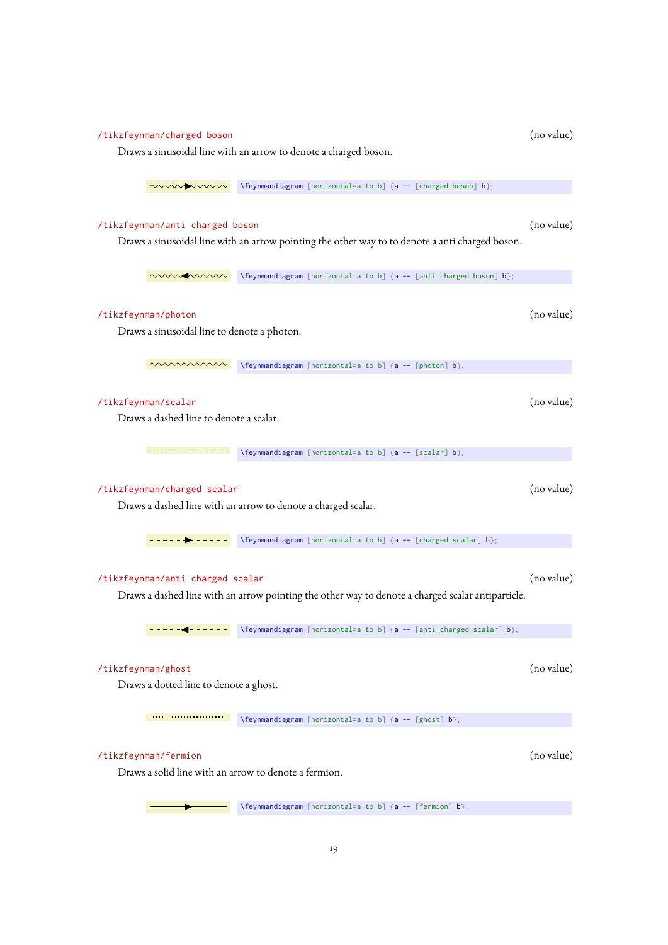# <span id="page-19-8"></span><span id="page-19-7"></span><span id="page-19-6"></span><span id="page-19-5"></span><span id="page-19-4"></span><span id="page-19-3"></span><span id="page-19-2"></span><span id="page-19-1"></span><span id="page-19-0"></span>/tikzfeynman/charged boson (no value) Draws a sinusoidal line with an arrow to denote a charged boson.  $\sim\sim\sim\sim$  [\feynmandiagram](#page-9-0) [\[horizontal=](#page-12-1)a to b] {a -- [\[charged boson\]](#page-19-5) b}; /tikzfeynman/anti charged boson (no value) Draws a sinusoidal line with an arrow pointing the other way to to denote a anti charged boson.  $\sim\sim\sim\sim$  [\feynmandiagram](#page-9-0) [\[horizontal=](#page-12-1)a to b] {a -- [\[anti charged boson\]](#page-19-6) b}; /tikzfeynman/photon (no value) Draws a sinusoidal line to denote a photon.  $\sim\sim\sim\sim\sim$  [\feynmandiagram](#page-9-0) [\[horizontal=](#page-12-1)a to b] {a -- [\[photon\]](#page-19-1) b}; /tikzfeynman/scalar (no value) Draws a dashed line to denote a scalar.  $\frac{1}{a}$  ---------- [\feynmandiagram](#page-9-0) [\[horizontal=](#page-12-1)a to b] {a -- [\[scalar\]](#page-19-3) b}; /tikzfeynman/charged scalar (no value) Draws a dashed line with an arrow to denote a charged scalar.  $\frac{1}{2}$  ----  $\rightarrow$  ----- [\feynmandiagram](#page-9-0) [\[horizontal=](#page-12-1)a to b] {a -- [\[charged scalar\]](#page-19-2) b}; /tikzfeynman/anti charged scalar (no value) Draws a dashed line with an arrow pointing the other way to denote a charged scalar antiparticle.  $\frac{1}{2}$  - - - - - - - - [\feynmandiagram](#page-9-0) [\[horizontal=](#page-12-1)a to b] {a -- [\[anti charged scalar\]](#page-19-4) b}; /tikzfeynman/ghost (no value) Draws a dotted line to denote a ghost. [\feynmandiagram](#page-9-0) [\[horizontal=](#page-12-1)a to b] {a -- [\[ghost\]](#page-19-7) b}; /tikzfeynman/fermion (no value) Draws a solid line with an arrow to denote a fermion. [\feynmandiagram](#page-9-0) [\[horizontal=](#page-12-1)a to b] {a -- [\[fermion\]](#page-19-0) b};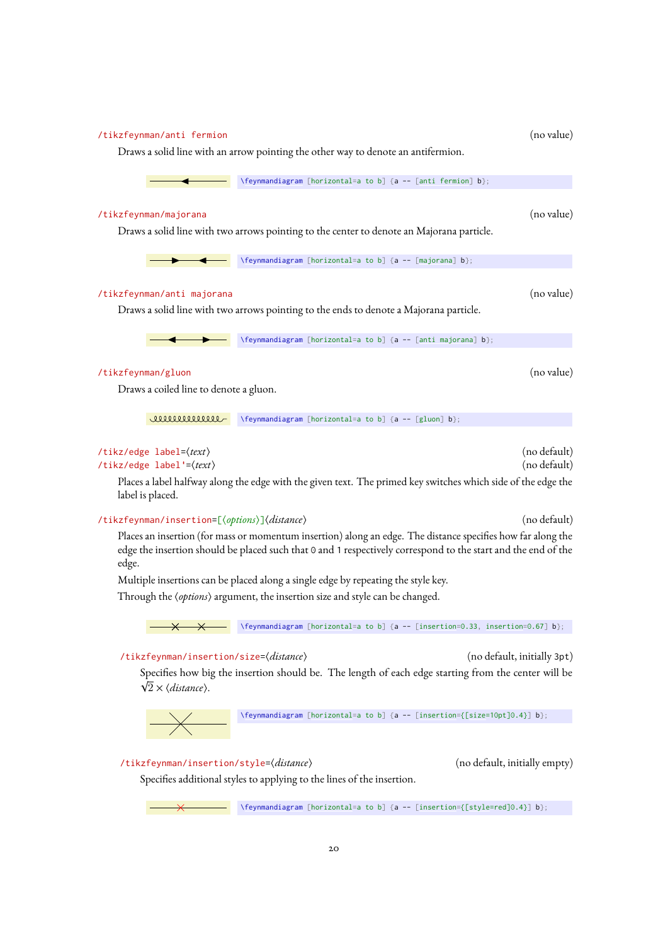<span id="page-20-9"></span><span id="page-20-8"></span><span id="page-20-7"></span><span id="page-20-6"></span><span id="page-20-5"></span><span id="page-20-4"></span><span id="page-20-3"></span><span id="page-20-2"></span><span id="page-20-1"></span><span id="page-20-0"></span>

| /tikzfeynman/anti fermion                                                                                                                                                                                                                                  | Draws a solid line with an arrow pointing the other way to denote an antifermion.                                                                    | (no value)                    |  |
|------------------------------------------------------------------------------------------------------------------------------------------------------------------------------------------------------------------------------------------------------------|------------------------------------------------------------------------------------------------------------------------------------------------------|-------------------------------|--|
|                                                                                                                                                                                                                                                            | \feynmandiagram [horizontal=a to b] {a -- [anti fermion] b};                                                                                         |                               |  |
| /tikzfeynman/majorana                                                                                                                                                                                                                                      | Draws a solid line with two arrows pointing to the center to denote an Majorana particle.                                                            | (no value)                    |  |
|                                                                                                                                                                                                                                                            | \feynmandiagram [horizontal=a to b] {a -- [majorana] b};                                                                                             |                               |  |
| /tikzfeynman/anti majorana                                                                                                                                                                                                                                 | Draws a solid line with two arrows pointing to the ends to denote a Majorana particle.                                                               | (no value)                    |  |
|                                                                                                                                                                                                                                                            | \feynmandiagram [horizontal=a to b] {a -- [anti majorana] b};                                                                                        |                               |  |
| /tikzfeynman/gluon<br>Draws a coiled line to denote a gluon.                                                                                                                                                                                               |                                                                                                                                                      | (no value)                    |  |
| ammmm                                                                                                                                                                                                                                                      | \feynmandiagram [horizontal=a to b] {a -- [gluon] b};                                                                                                |                               |  |
| (no default)<br>/tikz/edge label= $\langle text \rangle$<br>(no default)<br>/tikz/edge label'= $\langle text \rangle$<br>Places a label halfway along the edge with the given text. The primed key switches which side of the edge the<br>label is placed. |                                                                                                                                                      |                               |  |
| /tikzfeynman/insertion=[ $\langle options \rangle$ ] $\langle distances \rangle$                                                                                                                                                                           |                                                                                                                                                      | (no default)                  |  |
| Places an insertion (for mass or momentum insertion) along an edge. The distance specifies how far along the<br>edge the insertion should be placed such that 0 and 1 respectively correspond to the start and the end of the<br>edge.                     |                                                                                                                                                      |                               |  |
| Multiple insertions can be placed along a single edge by repeating the style key.<br>Through the (options) argument, the insertion size and style can be changed.                                                                                          |                                                                                                                                                      |                               |  |
| $\boldsymbol{\times}$                                                                                                                                                                                                                                      | $\verb \feynmandiagram [horizontal=a to b] {a -- [insertion=0.33, insertion=0.67] b};$                                                               |                               |  |
| (no default, initially 3pt)<br>/tikzfeynman/insertion/size=( <i>distance</i> )<br>Specifies how big the insertion should be. The length of each edge starting from the center will be<br>$\sqrt{2} \times \langle distance \rangle$ .                      |                                                                                                                                                      |                               |  |
|                                                                                                                                                                                                                                                            | \feynmandiagram [horizontal=a to b] {a -- [insertion={[size=10pt]0.4}] b};                                                                           |                               |  |
| /tikzfeynman/insertion/style=(distance)                                                                                                                                                                                                                    | Specifies additional styles to applying to the lines of the insertion.<br>\feynmandiagram [horizontal=a to b] {a -- [insertion={[style=red]0.4}] b}; | (no default, initially empty) |  |
|                                                                                                                                                                                                                                                            |                                                                                                                                                      |                               |  |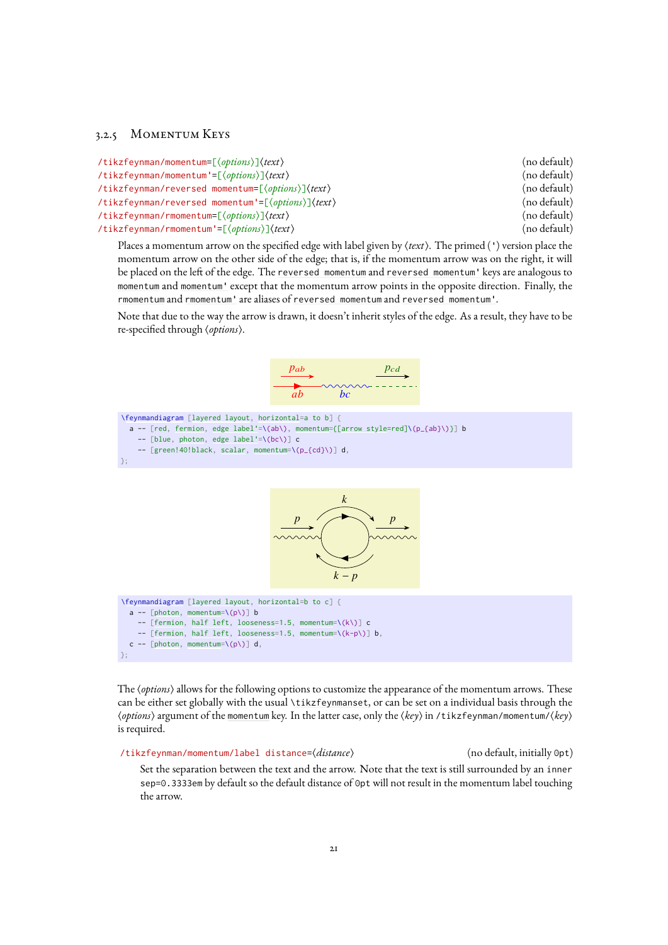### <span id="page-21-6"></span>3.2.5 Momentum Keys

<span id="page-21-3"></span><span id="page-21-2"></span><span id="page-21-1"></span><span id="page-21-0"></span>

| /tikzfeynman/momentum=[ $\langle$ options $\rangle$ ] $\langle$ text $\rangle$               | (no default) |
|----------------------------------------------------------------------------------------------|--------------|
| /tikzfeynman/momentum'=[ $\langle$ options $\rangle$ ] $\langle$ text $\rangle$              | (no default) |
| /tikzfeynman/reversed momentum=[ $\langle options \rangle$ ] $\langle text \rangle$          | (no default) |
| /tikzfeynman/reversed momentum'=[ $\langle options \rangle$ ] $\langle text \rangle$         | (no default) |
| $\mathcal{N}$ tikzfeynman/rmomentum=[ $\langle$ options $\rangle$ ] $\langle$ text $\rangle$ | (no default) |
| /tikzfeynman/rmomentum'=[ $\langle options \rangle$ ] $\langle text \rangle$                 | (no default) |

<span id="page-21-5"></span><span id="page-21-4"></span>Places a momentum arrow on the specified edge with label given by  $\langle text \rangle$ . The primed (') version place the momentum arrow on the other side of the edge; that is, if the momentum arrow was on the right, it will be placed on the left of the edge. The [reversed momentum](#page-21-2) and [reversed momentum'](#page-21-3) keys are analogous to [momentum](#page-21-0) and [momentum'](#page-21-1) except that the momentum arrow points in the opposite direction. Finally, the [rmomentum](#page-21-4) and [rmomentum'](#page-21-5) are aliases of [reversed momentum](#page-21-2) and [reversed momentum'](#page-21-3).

Note that due to the way the arrow is drawn, it doesn't inherit styles of the edge. As a result, they have to be re-specified through  $\langle options \rangle$ .



```
\feynmandiagram [layered layout, horizontal=a to b] {
 fermion,edge label'=momentum=[arrow style=red]\(p_{ab}\)}] b
   --photon,edge label'=\(bc\)] c
   -- [green!40!black, scalar, momentum=\(p_{cd}\)] d,
};
```


```
\feynmandiagram [layered layout, horizontal=b to c] {
  [photon,momentum=\pmb{\setminus} (p \pmb{\setminus})] b
    -- [fermion, half left, looseness=1.5, momentum=\(k\)] c
     -- [fermion, half left, looseness=1.5, momentum=\(k-p\)] b,
  [photon,momentum=\pmb{\setminus} (p \pmb{\setminus})] d,
};
```
The *(options*) allows for the following options to customize the appearance of the momentum arrows. These can be either set globally with the usual [\tikzfeynmanset](#page-9-6), or can be set on a individual basis through the h*options*i argument of the [momentum](#page-21-0) key. In the latter case, only the h*key*i in /tikzfeynman/momentum/h*key*i is required.

/tikzfeynman/momentum/label distance= $\langle distance \rangle$  (no default, initially 0pt)

Set the separation between the text and the arrow. Note that the text is still surrounded by an inner sep=0.3333em by default so the default distance of 0pt will not result in the momentum label touching the arrow.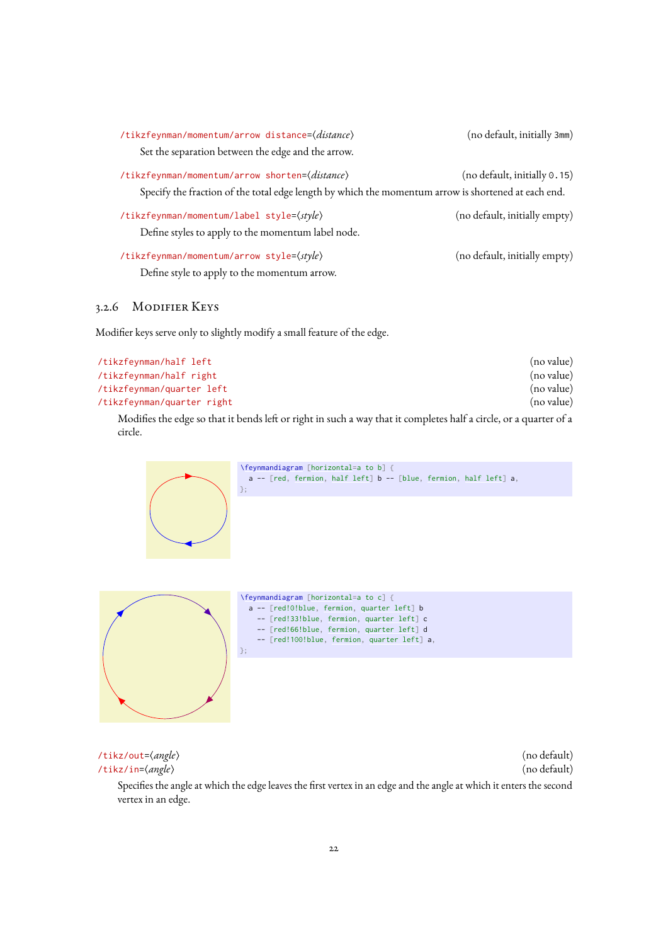<span id="page-22-5"></span>

| /tikzfeynman/momentum/arrow distance=(distance)                                                     | (no default, initially 3mm)   |
|-----------------------------------------------------------------------------------------------------|-------------------------------|
| Set the separation between the edge and the arrow.                                                  |                               |
| /tikzfeynman/momentum/arrow shorten=( <i>distance</i> )                                             | (no default, initially 0.15)  |
| Specify the fraction of the total edge length by which the momentum arrow is shortened at each end. |                               |
| /tikzfeynman/momentum/label style= $\langle style\rangle$                                           | (no default, initially empty) |
| Define styles to apply to the momentum label node.                                                  |                               |
| /tikzfeynman/momentum/arrow style= $\langle style\rangle$                                           | (no default, initially empty) |
| Define style to apply to the momentum arrow.                                                        |                               |

### <span id="page-22-0"></span>3.2.6 Modifier Keys

Modifier keys serve only to slightly modify a small feature of the edge.

<span id="page-22-2"></span><span id="page-22-1"></span>

| /tikzfeynman/half left     | (no value) |
|----------------------------|------------|
| /tikzfeynman/half right    | (no value) |
| /tikzfeynman/quarter left  | (no value) |
| /tikzfeynman/quarter right | (no value) |
|                            |            |

Modifies the edge so that it bends left or right in such a way that it completes half a circle, or a quarter of a circle.



<span id="page-22-4"></span>/tikz/in= $\langle angle \rangle$  (no default) Specifies the angle at which the edge leaves the first vertex in an edge and the angle at which it enters the second vertex in an edge.

<span id="page-22-3"></span>/tikz/out= $\langle angle \rangle$  (no default)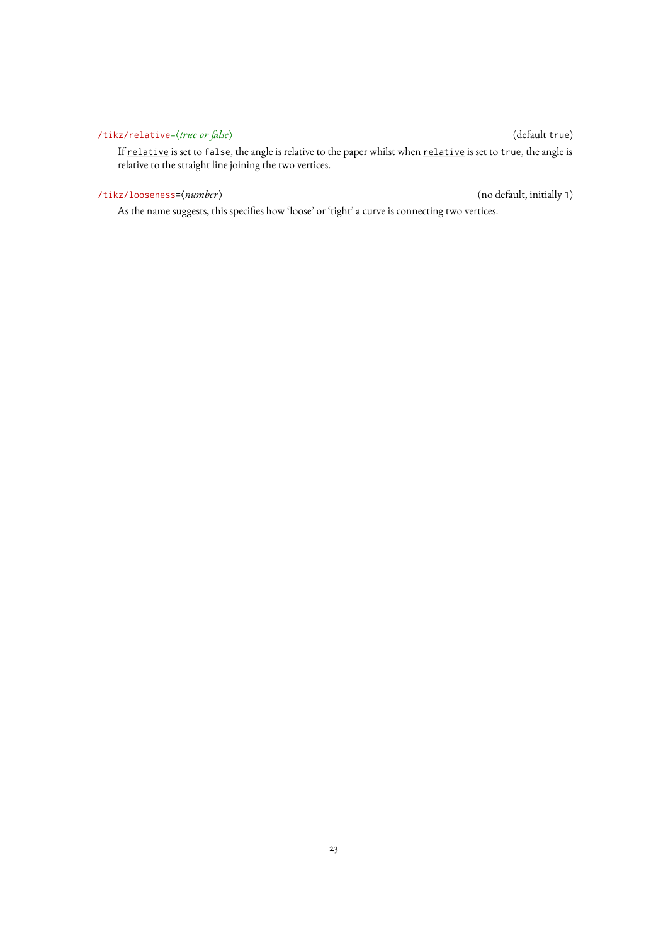### <span id="page-23-2"></span><span id="page-23-1"></span>/tikz/relative= $\langle true \text{ or } false \rangle$  (default true)

If [relative](#page-23-1) is set to false, the angle is relative to the paper whilst when [relative](#page-23-1) is set to true, the angle is relative to the straight line joining the two vertices.

### <span id="page-23-0"></span>/tikz/looseness= $\langle \textit{number} \rangle$  (no default, initially 1)

As the name suggests, this specifies how 'loose' or 'tight' a curve is connecting two vertices.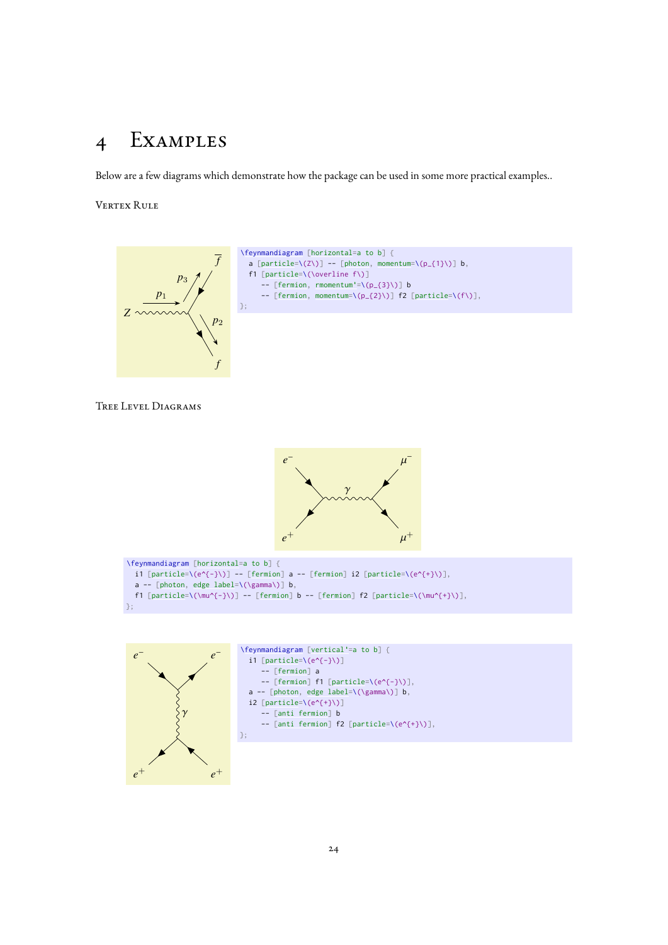# <span id="page-24-0"></span>4 Examples

Below are a few diagrams which demonstrate how the package can be used in some more practical examples..

Vertex Rule



Tree Level Diagrams



```
\feynmandiagram [horizontal=a to b] {
  i1 [particle=(e^{-(}-\})] -- [fermion] a -- [fermion] i2 [particle=(e^{-(}+\})],
  [photon,edge label=\(\gamma\)] b,
  [particle=[fermion] b -- [fermion] f2 [particle=\(\mu^{+}\)],
};
```


[\feynmandiagram](#page-9-0) [\[vertical'=](#page-12-4)a to b] {  $i1$  [\[particle=](#page-17-0)\(e^{-}\)] -- [\[fermion\]](#page-19-0) a  $--$  [\[fermion\]](#page-19-0) f1 [\[particle=](#page-17-0)\(e^{-}\)], a -- [\[photon,](#page-19-1) [edge label=](#page-20-1)\(\gamma\)] b, i2  $[particle=\{(e^{4}+}\)]$  $[particle=\{(e^{4}+}\)]$ -- [\[anti fermion\]](#page-20-2) b -- [\[anti fermion\]](#page-20-2) f2 [\[particle=](#page-17-0)\(e^{+}\)], };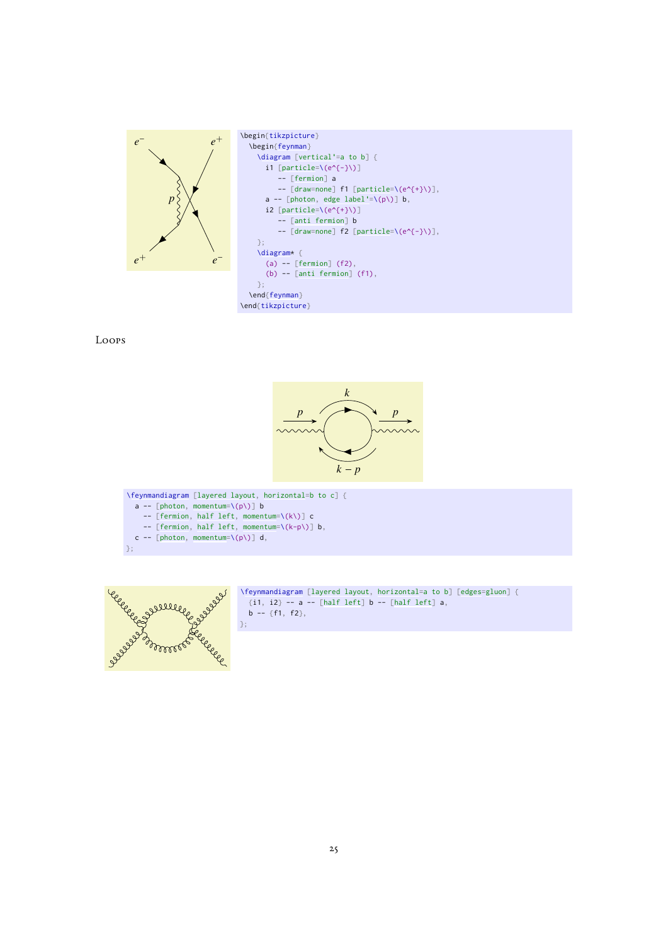

Loops



a -- [\[photon,](#page-19-1) [momentum=](#page-21-0) $\pmb{\setminus} (p \pmb{\setminus})$ ] b -- [\[fermion,](#page-19-0) [half left,](#page-22-1) [momentum=](#page-21-0)\(k\)] c -- [\[fermion,](#page-19-0) [half left,](#page-22-1) [momentum=](#page-21-0)\(k-p\)] b, c -- [\[photon,](#page-19-1) [momentum=](#page-21-0) $\{(p\})$ ] d, };



[\feynmandiagram](#page-9-0) [\[layered layout,](#page-14-1) [horizontal=](#page-12-1)a to b] [\[edges](#page-16-2)[=gluon\]](#page-20-0) {  $\{i1, i2\}$  -- a -- [\[half left\]](#page-22-1) b -- [half left] a, b -- {f1, f2},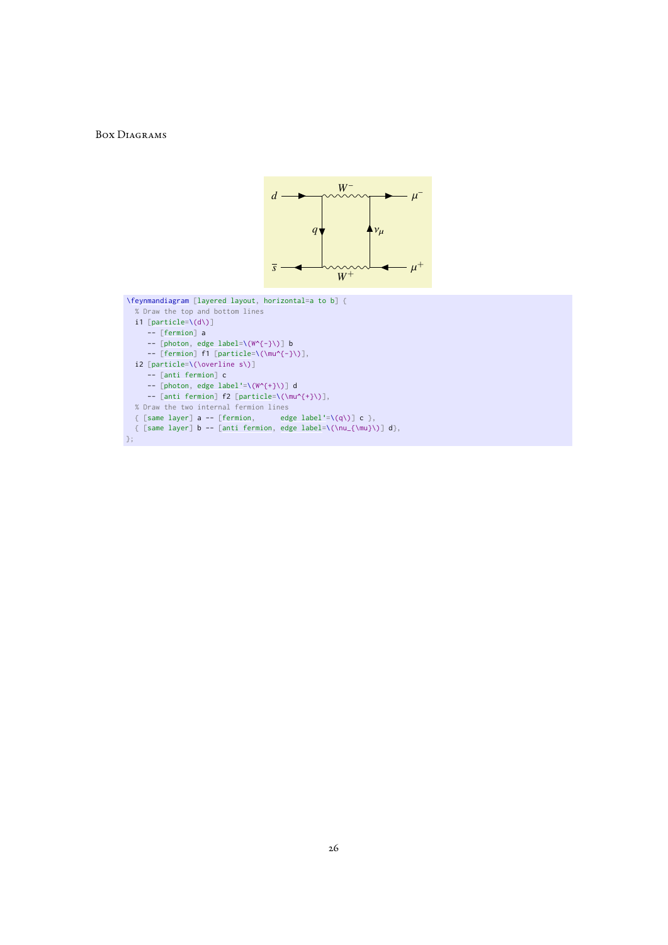### Box Diagrams



```
\feynmandiagram [layered layout, horizontal=a to b] {
  % Draw the top and bottom lines
  i1 [particle=\(d\)]
     -- [fermion] a
     --[photon,edge label=\(W^{-}\)] b
     --[fermion][particle=\(\mu^{-}\)],
  i2 [particle=\(\overline s\)]
     -- [anti fermion] c
     -- [photon, edge label'=\(W^{+}\)] d
     -- [anti fermion] f2 [particle=\(\mu^{+}\)],
  % Draw the two internal fermion lines
  [fermion,edge label'=\(q\)] c },
  { [same layer] b[anti fermion,edge label=\(\nu_{\mu}\)] d},
};
```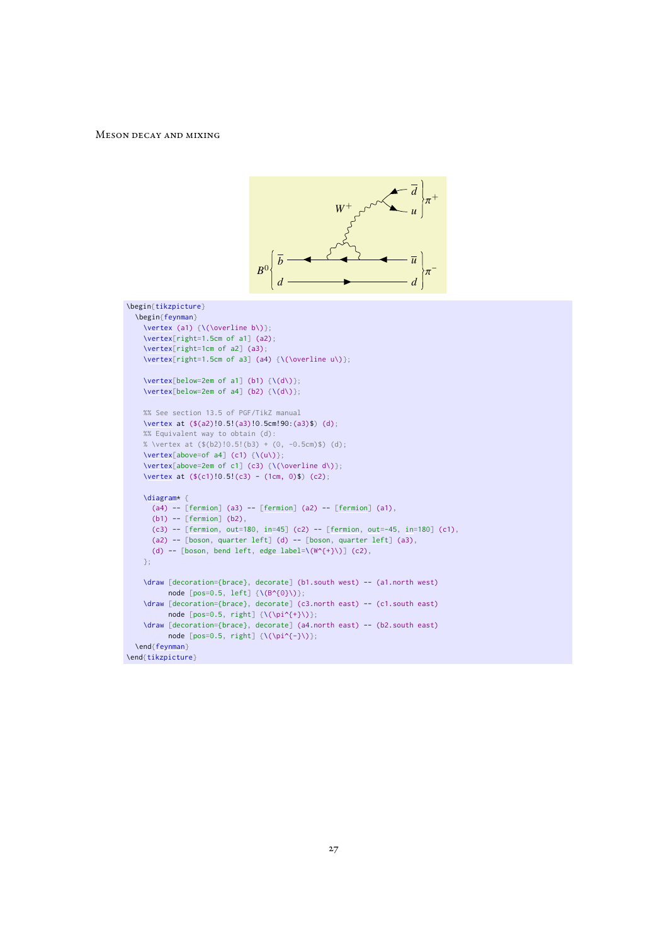### Meson decay and mixing

```
\overline{b} \longrightarrow \longleftarrow \longleftarrow \overline{u}d d
                                                                          u
                                                      W^+B^0+
                                                                               −
\begin{tikzpicture}
  \begin{feynman}
    \text{vertex} (a1) \{\text{Voverline} b\}\;\vertex[right=1.5cm of a1] (a2);
    \vertex[right=1cm of a2] (a3);
    \vertex[right=1.5cm of a3] (a4) {\(\overline{\vee\})\};
    \vert \text{vertex}[below=2em of a1] (b1) {\langle \text{d}\rangle};\vert \text{vertex}[below=2em of a4] (b2) {\setminus (d\setminus)};%% See section 13.5 of PGF/TikZ manual
    \vertex at ($(a2)!0.5!(a3)!0.5cm!90:(a3)$) (d);
    %% Equivalent way to obtain (d):
    % \vertex at (\frac{6}{2})!0.5!(b3) + (0, -0.5cm)\ (d);
    \text{Vertex}[\text{above=of a4}](c1) {\{\Upsilon(u)\}};\vertex[above=2em of c1] (c3) {\(\overline d\)};
    \vertex at ($(c1)!\ 0.5!(c3) - (1cm, 0)$) (c2);\diagram* {
      (a4) -- [fermion] (a3) -- [fermion] (a2) -- [fermion] (a1),
      (b1) -- [fermion] (b2),
      [fermion,out=in=45] (c2) -- [fermion, out=-45, in=180] (c1),
      (a2)[boson,quarter left] (d) -- [boson, quarter left] (a3),
      [boson,edge label=\(W^{*}{+}\)] (c2),
    };
    \draw [decoration={brace}, decorate] (b1.south west) -- (a1.north west)
          node [pos=0.5, left] \{\(B^{\wedge}\{0\}\)\};\draw [decoration={brace}, decorate] (c3.north east) -- (c1.south east)
          node [pos=0.5, right] {\(\pi^{\{+}\})};\draw [decoration={brace}, decorate] (a4.north east) -- (b2.south east)
          node [pos=0.5, right] \{\(\pi^{-}\})\};
  \end{feynman}
\end{tikzpicture}
```
*d*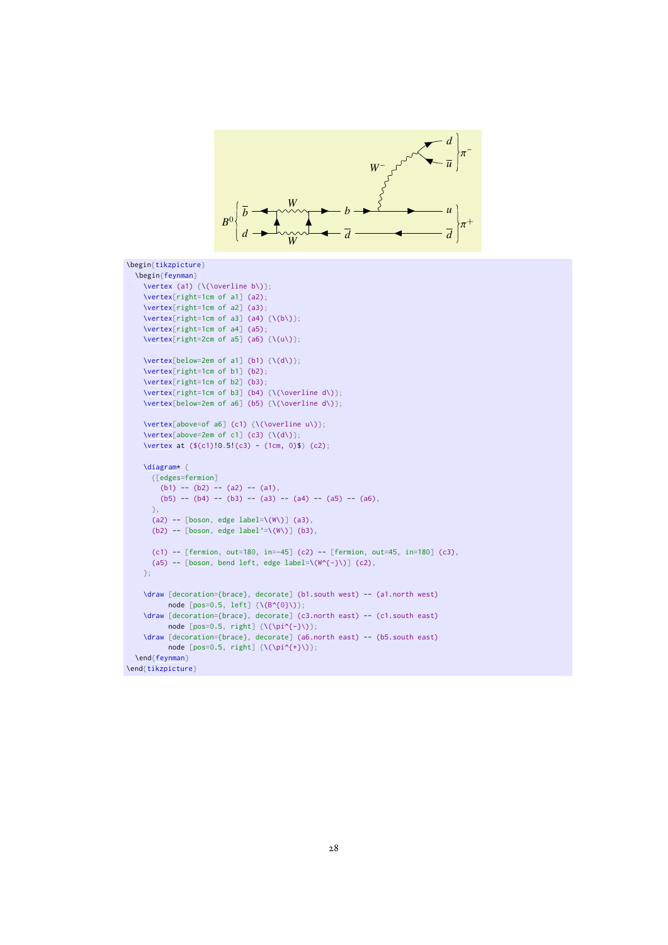

```
\begin{tikzpicture}
  \begin{feynman}
    \vertex (a1) {\(\overline b\)};
    \vertex[right=1cm of a1] (a2);
    \vertex[right=1cm of a2] (a3);
    \vert \text{vertex}[\text{right=1cm of a3}] (a4) \{(\text{b}\)\};\vertex[right=1cm of a4] (a5);
    \vert \text{vertex}[\text{right=2cm of a5}] (a6) \{ \langle u \rangle \};\vert \text{vertex}[below=2em of a1] (b1) {\langle \text{data}\rangle};\vertex[right=1cm of b1] (b2);
    \vertex[right=1cm of b2] (b3);
    \vertex[right=1cm of b3] (b4) {\(\overline d\)};
    \vertex[below=2em of a6] (b5) {\(\overline d\)};
    \vertex[above=of a6] (c1) {\(\overline u\)};
    \vertex[above=2em of c1] (c3) \{\{(d\})\};
    \vertex at ($(c1)!0.5!(c3) - (1cm, 0)$) (c2);
    \diagram* {
      {[edges=fermion]
        (b1) -- (b2) -- (a2) -- (a1),
        (b5) -- (b4) -- (b3) -- (a3) -- (a4) -- (a5) -- (a6),
      },
      [boson,edge label=\(W\)] (a3),
      [boson,edge label'=\(W\)] (b3),
      (c1) -- [fermion, out=180, in=-45] (c2) -- [fermion, out=45, in=180] (c3),
     [boson,edge label=\((\mathbb{W}^{\wedge}\{-\})] (c2),
    };
    \draw [decoration={brace}, decorate] (b1.south west) -- (a1.north west)
         node [pos=0.5, left] \{\(B^{\land}0\})\};\draw [decoration={brace}, decorate] (c3.north east) -- (c1.south east)
          node [pos=0.5, right] \{\(\pi^{\{-\}})\};\draw [decoration={brace}, decorate] (a6.north east) -- (b5.south east)
          node [pos=0.5, right] \{\(\pi^{\{+}\})\};\end{feynman}
\end{tikzpicture}
```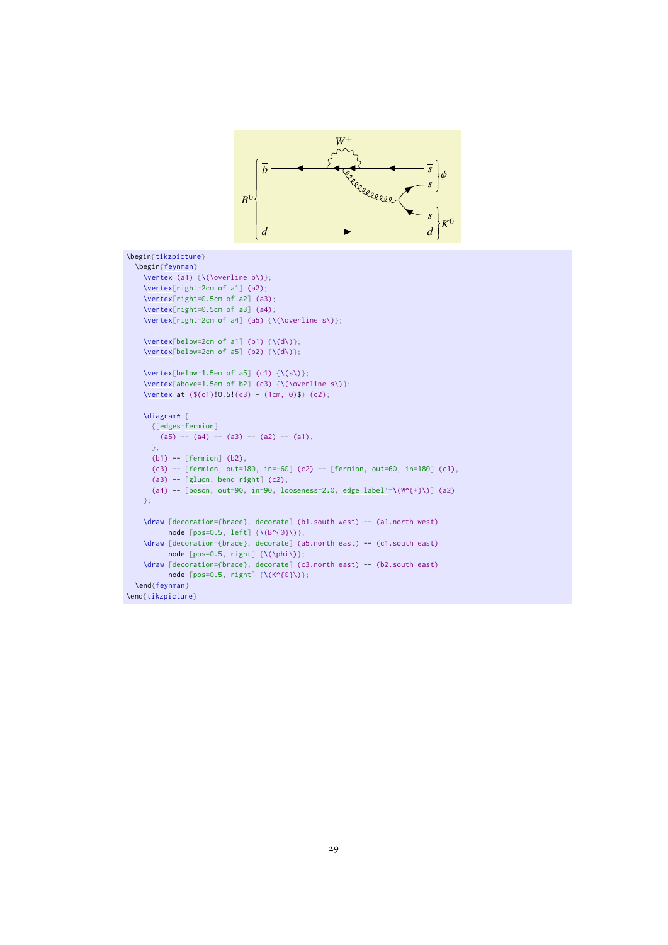

```
\begin{tikzpicture}
  \begin{feynman}
    \lvert \text{(a1) } \{\text{(overline b)}\};\vertex[right=2cm of a1] (a2);
    \vertex[right=0.5cm of a2] (a3);
    \vertex[right=0.5cm of a3] (a4);
    \vertex[right=2cm of a4] (a5) {\(\overline s\)};
    \vert \text{vertex}[below=2cm of a1] (b1) {\setminus (d\setminus)};\vert \text{vertex}[below=2cm of a5] (b2) \{(\text{d}\i) \};\vertex[below=1.5em of a5] (c1) \{\setminus (s\})\};
    \vertex[above=1.5em of b2] (c3) {\(\overline s\)};
    \vertex at ($(c1)!0.5!(c3) - (1cm, 0)$) (c2);\diagram* {
     {[edges=fermion]
        (a5) -- (a4) -- (a3) -- (a2) -- (a1),
      },
      (b1) -- [fermion] (b2),
      (c3) -[fermion,out=in=-60] (c2) - [fermion, out=60, in=180] (c1),
      (a3)[gluon, bend right] (c2),
      [boson,out=in=looseness=edge label'=\(W^{+}\)] (a2)
    };
    \draw [decoration={brace}, decorate] (b1.south west) -- (a1.north west)
         node [pos=0.5, left] \{\(B^{\wedge}\{0\})\};\draw [decoration={brace}, decorate] (a5.north east) -- (c1.south east)
          node [pos=0.5, right] {\(\phi\)};
    \draw [decoration={brace}, decorate] (c3.north east) -- (b2.south east)
          node [pos=0.5, right] {\(K^{0}\)};
  \end{feynman}
\end{tikzpicture}
```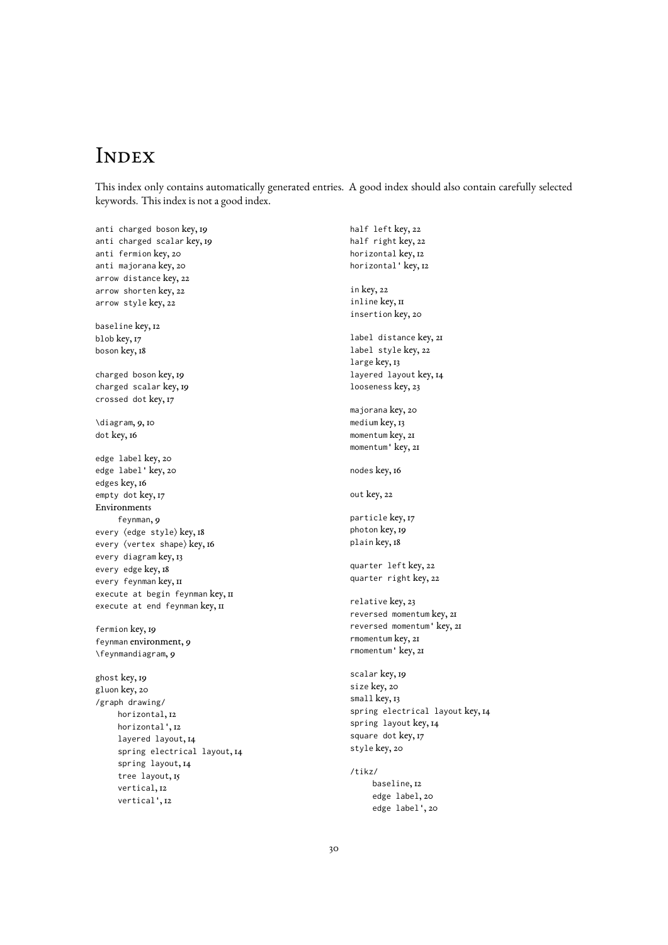# **INDEX**

This index only contains automatically generated entries. A good index should also contain carefully selected keywords. This index is not a good index.

anti charged boson key, [19](#page-19-8) anti charged scalar key, [19](#page-19-8) anti fermion key, [20](#page-20-9) anti majorana key, [20](#page-20-9) arrow distance key, [22](#page-22-5) arrow shorten key, [22](#page-22-5) arrow style key, [22](#page-22-5) baseline key, [12](#page-12-5) blob key, [17](#page-17-5) boson key, [18](#page-18-2) charged boson key, [19](#page-19-8) charged scalar key, [19](#page-19-8) crossed dot key, [17](#page-17-5) \diagram, [9,](#page-9-7) [10](#page-10-1) dot key, [16](#page-16-3) edge label key, [20](#page-20-9) edge label' key, [20](#page-20-9) edges key, [16](#page-16-3) empty dot key, [17](#page-17-5) Environments feynman, [9](#page-9-7) every (edge style) key, [18](#page-18-2) every (vertex shape) key, [16](#page-16-3) every diagram key, [13](#page-13-4) every edge key, [18](#page-18-2) every feynman key, II execute at begin feynman key, II execute at end feynman key, II fermion key, [19](#page-19-8) feynman environment, [9](#page-9-7) \feynmandiagram, [9](#page-9-7) ghost key, [19](#page-19-8) gluon key, [20](#page-20-9) /graph drawing/ horizontal, [12](#page-12-5) horizontal', [12](#page-12-5) layered layout, [14](#page-14-3) spring electrical layout, [14](#page-14-3)

> spring layout, [14](#page-14-3) tree layout, [15](#page-15-1) vertical, [12](#page-12-5) vertical', [12](#page-12-5)

half left key, [22](#page-22-5) half right key, [22](#page-22-5) horizontal key, [12](#page-12-5) horizontal' key, [12](#page-12-5) in key, [22](#page-22-5) inline key, II insertion key, [20](#page-20-9) label distance key, [21](#page-21-6) label style key, [22](#page-22-5) large key, [13](#page-13-4) layered layout key, [14](#page-14-3) looseness key, [23](#page-23-2) majorana key, [20](#page-20-9) medium key, [13](#page-13-4) momentum key, [21](#page-21-6) momentum' key, [21](#page-21-6) nodes key, [16](#page-16-3) out key, [22](#page-22-5) particle key, [17](#page-17-5) photon key, [19](#page-19-8) plain key, [18](#page-18-2) quarter left key, [22](#page-22-5) quarter right key, [22](#page-22-5) relative key, [23](#page-23-2) reversed momentum key, [21](#page-21-6) reversed momentum' key, [21](#page-21-6) rmomentum key, [21](#page-21-6) rmomentum' key, [21](#page-21-6) scalar key, [19](#page-19-8) size key, [20](#page-20-9) small key, [13](#page-13-4) spring electrical layout key, [14](#page-14-3) spring layout key, [14](#page-14-3) square dot key, [17](#page-17-5) style key, [20](#page-20-9) /tikz/ baseline, [12](#page-12-5) edge label, [20](#page-20-9) edge label', [20](#page-20-9)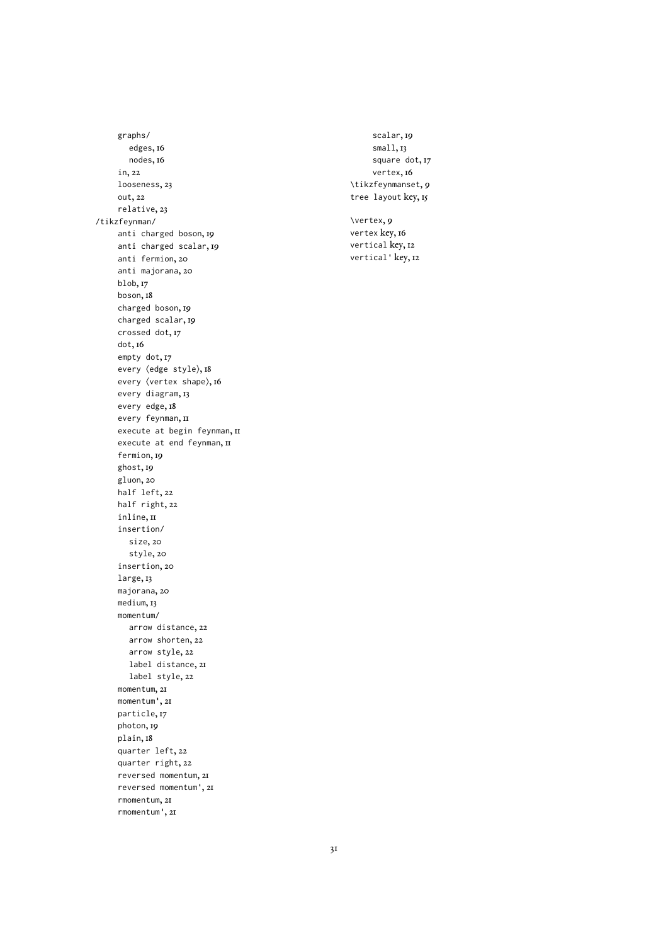graphs/ edges, [16](#page-16-3) nodes, [16](#page-16-3) in, [22](#page-22-5) looseness, [23](#page-23-2) out, [22](#page-22-5) relative, [23](#page-23-2) /tikzfeynman/ anti charged boson, [19](#page-19-8) anti charged scalar, [19](#page-19-8) anti fermion, [20](#page-20-9) anti majorana, [20](#page-20-9) blob, [17](#page-17-5) boson, [18](#page-18-2) charged boson, [19](#page-19-8) charged scalar, [19](#page-19-8) crossed dot, [17](#page-17-5) dot, [16](#page-16-3) empty dot, [17](#page-17-5) every (edge style), [18](#page-18-2) every (vertex shape), [16](#page-16-3) every diagram, [13](#page-13-4) every edge, [18](#page-18-2) every feynman, [11](#page-11-2) execute at begin feynman, II execute at end feynman, II fermion, [19](#page-19-8) ghost, [19](#page-19-8) gluon, [20](#page-20-9) half left, [22](#page-22-5) half right, [22](#page-22-5) inline, II insertion/ size, [20](#page-20-9) style, [20](#page-20-9) insertion, [20](#page-20-9) large, [13](#page-13-4) majorana, [20](#page-20-9) medium, [13](#page-13-4) momentum/ arrow distance, [22](#page-22-5) arrow shorten, [22](#page-22-5) arrow style, [22](#page-22-5) label distance, [21](#page-21-6) label style, [22](#page-22-5) momentum, [21](#page-21-6) momentum', [21](#page-21-6) particle, [17](#page-17-5) photon, [19](#page-19-8) plain, [18](#page-18-2) quarter left, [22](#page-22-5) quarter right, [22](#page-22-5) reversed momentum, [21](#page-21-6) reversed momentum', [21](#page-21-6) rmomentum, [21](#page-21-6) rmomentum', [21](#page-21-6)

scalar, [19](#page-19-8) small, [13](#page-13-4) square dot, [17](#page-17-5) vertex, [16](#page-16-3) \tikzfeynmanset, [9](#page-9-7) tree layout key, [15](#page-15-1) \vertex, [9](#page-9-7) vertex key, [16](#page-16-3) vertical key, [12](#page-12-5) vertical' key, [12](#page-12-5)